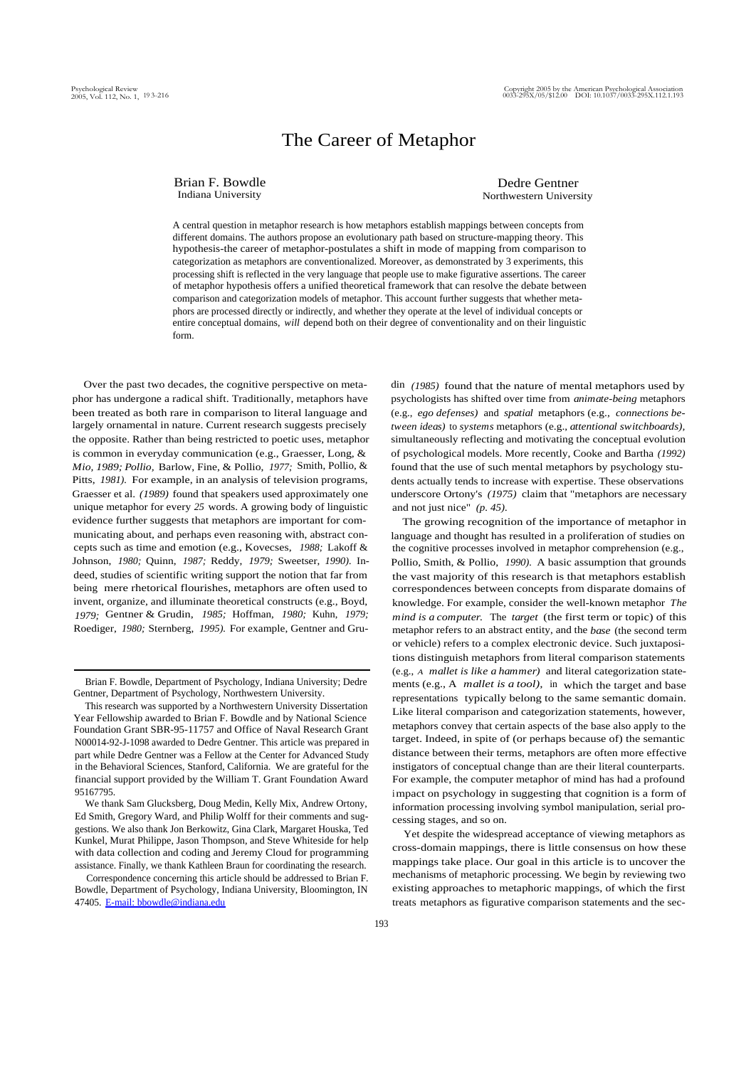# The Career of Metaphor

Brian F. Bowdle<br>
Indiana University<br>
Northwestern University<br>
Northwestern University

Northwestern University

A central question in metaphor research is how metaphors establish mappings between concepts from different domains. The authors propose an evolutionary path based on structure-mapping theory. This hypothesis-the career of metaphor-postulates a shift in mode of mapping from comparison to categorization as metaphors are conventionalized. Moreover, as demonstrated by 3 experiments, this processing shift is reflected in the very language that people use to make figurative assertions. The career of metaphor hypothesis offers a unified theoretical framework that can resolve the debate between comparison and categorization models of metaphor. This account further suggests that whether metaphors are processed directly or indirectly, and whether they operate at the level of individual concepts or entire conceptual domains, *will* depend both on their degree of conventionality and on their linguistic form.

Over the past two decades, the cognitive perspective on metaphor has undergone a radical shift. Traditionally, metaphors have been treated as both rare in comparison to literal language and largely ornamental in nature. Current research suggests precisely the opposite. Rather than being restricted to poetic uses, metaphor is common in everyday communication (e.g., Graesser, Long, & *Mio, 1989; Pollio,* Barlow, Fine, & Pollio, *1977;* Smith, Pollio, & Pitts, 1981). For example, in an analysis of television programs, Graesser et al. *(1989)* found that speakers used approximately one unique metaphor for every *25* words. A growing body of linguistic evidence further suggests that metaphors are important for communicating about, and perhaps even reasoning with, abstract concepts such as time and emotion (e.g., Kovecses, *1988;* Lakoff & Johnson, *1980;* Quinn, *1987;* Reddy, *1979;* Sweetser, *1990).* Indeed, studies of scientific writing support the notion that far from being mere rhetorical flourishes, metaphors are often used to invent, organize, and illuminate theoretical constructs (e.g., Boyd, *1979;* Gentner & Grudin, *1985;* Hoffman, *1980;* Kuhn, *1979;* Roediger, *1980;* Sternberg, *1995).* For example, Gentner and Gru-

Correspondence concerning this article should be addressed to Brian F. Bowdle, Department of Psychology, Indiana University, Bloomington, IN 47405. [E-mail: bbowdle@indiana.edu](mailto:bbowdle@indiana.edu)

din *(1985)* found that the nature of mental metaphors used by psychologists has shifted over time from *animate-being* metaphors (e.g., *ego defenses)* and *spatial* metaphors (e.g., *connections between ideas)* to *systems* metaphors (e.g., *attentional switchboards),* simultaneously reflecting and motivating the conceptual evolution of psychological models. More recently, Cooke and Bartha *(1992)* found that the use of such mental metaphors by psychology students actually tends to increase with expertise. These observations underscore Ortony's *(1975)* claim that "metaphors are necessary and not just nice" *(p. 45).*

The growing recognition of the importance of metaphor in language and thought has resulted in a proliferation of studies on the cognitive processes involved in metaphor comprehension (e.g., Pollio, Smith, & Pollio, *1990).* A basic assumption that grounds the vast majority of this research is that metaphors establish correspondences between concepts from disparate domains of knowledge. For example, consider the well-known metaphor *The mind is a computer.* The *target* (the first term or topic) of this metaphor refers to an abstract entity, and the *base* (the second term or vehicle) refers to a complex electronic device. Such juxtapositions distinguish metaphors from literal comparison statements (e.g., *A mallet is like a hammer)* and literal categorization statements (e.g., A *mallet is a tool),* in which the target and base representations typically belong to the same semantic domain. Like literal comparison and categorization statements, however, metaphors convey that certain aspects of the base also apply to the target. Indeed, in spite of (or perhaps because of) the semantic distance between their terms, metaphors are often more effective instigators of conceptual change than are their literal counterparts. For example, the computer metaphor of mind has had a profound impact on psychology in suggesting that cognition is a form of information processing involving symbol manipulation, serial processing stages, and so on.

Yet despite the widespread acceptance of viewing metaphors as cross-domain mappings, there is little consensus on how these mappings take place. Our goal in this article is to uncover the mechanisms of metaphoric processing. We begin by reviewing two existing approaches to metaphoric mappings, of which the first treats metaphors as figurative comparison statements and the sec-

Brian F. Bowdle, Department of Psychology, Indiana University; Dedre Gentner, Department of Psychology, Northwestern University.

This research was supported by a Northwestern University Dissertation Year Fellowship awarded to Brian F. Bowdle and by National Science Foundation Grant SBR-95-11757 and Office of Naval Research Grant N00014-92-J-1098 awarded to Dedre Gentner. This article was prepared in part while Dedre Gentner was a Fellow at the Center for Advanced Study in the Behavioral Sciences, Stanford, California. We are grateful for the financial support provided by the William T. Grant Foundation Award 95167795.

We thank Sam Glucksberg, Doug Medin, Kelly Mix, Andrew Ortony, Ed Smith, Gregory Ward, and Philip Wolff for their comments and suggestions. We also thank Jon Berkowitz, Gina Clark, Margaret Houska, Ted Kunkel, Murat Philippe, Jason Thompson, and Steve Whiteside for help with data collection and coding and Jeremy Cloud for programming assistance. Finally, we thank Kathleen Braun for coordinating the research.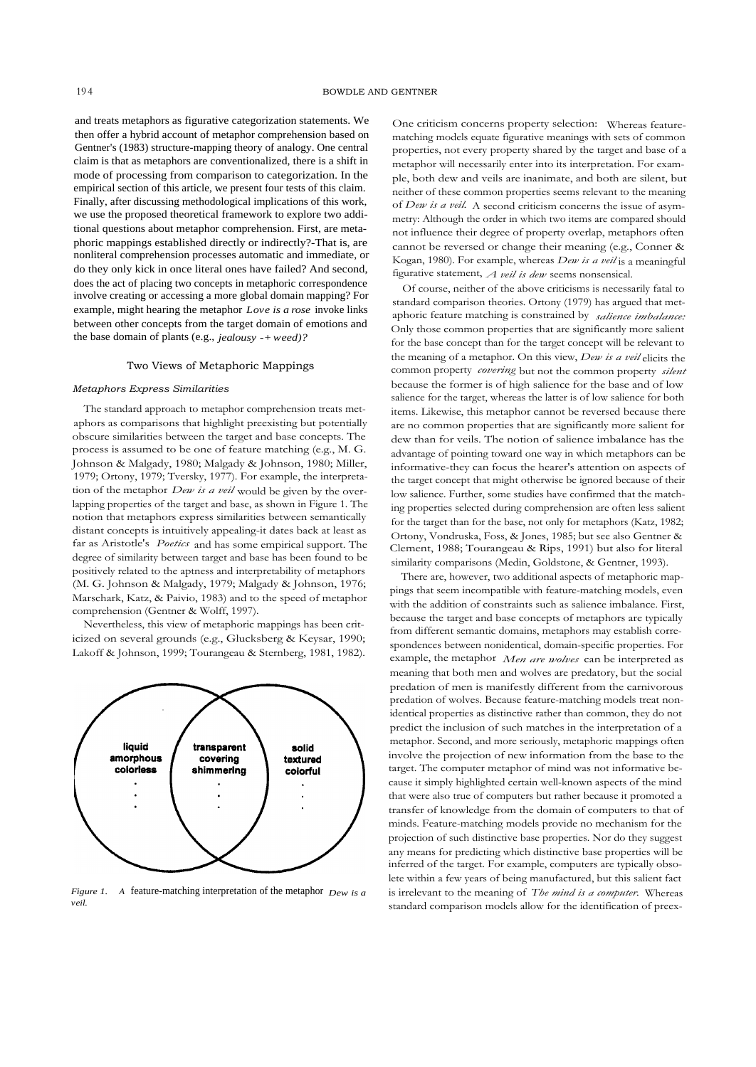and treats metaphors as figurative categorization statements. We then offer a hybrid account of metaphor comprehension based on Gentner's (1983) structure-mapping theory of analogy. One central claim is that as metaphors are conventionalized, there is a shift in mode of processing from comparison to categorization. In the empirical section of this article, we present four tests of this claim. Finally, after discussing methodological implications of this work, we use the proposed theoretical framework to explore two additional questions about metaphor comprehension. First, are metaphoric mappings established directly or indirectly?-That is, are nonliteral comprehension processes automatic and immediate, or do they only kick in once literal ones have failed? And second, does the act of placing two concepts in metaphoric correspondence involve creating or accessing a more global domain mapping? For example, might hearing the metaphor *Love is a rose* invoke links between other concepts from the target domain of emotions and the base domain of plants (e.g., *jealousy -+ weed)?*

#### Two Views of Metaphoric Mappings

## *Metaphors Express Similarities*

The standard approach to metaphor comprehension treats metaphors as comparisons that highlight preexisting but potentially obscure similarities between the target and base concepts. The process is assumed to be one of feature matching (e.g., M. G. Johnson & Malgady, 1980; Malgady & Johnson, 1980; Miller, 1979; Ortony, 1979; Tversky, 1977). For example, the interpretation of the metaphor *Dew is a veil* would be given by the overlapping properties of the target and base, as shown in Figure 1. The notion that metaphors express similarities between semantically distant concepts is intuitively appealing-it dates back at least as far as Aristotle's *Poetics* and has some empirical support. The degree of similarity between target and base has been found to be positively related to the aptness and interpretability of metaphors (M. G. Johnson & Malgady, 1979; Malgady & Johnson, 1976; Marschark, Katz, & Paivio, 1983) and to the speed of metaphor comprehension (Gentner & Wolff, 1997).

Nevertheless, this view of metaphoric mappings has been criticized on several grounds (e.g., Glucksberg & Keysar, 1990; Lakoff & Johnson, 1999; Tourangeau & Sternberg, 1981, 1982).



*Figure 1. A* feature-matching interpretation of the metaphor *Dew is a veil.*

One criticism concerns property selection: Whereas featurematching models equate figurative meanings with sets of common properties, not every property shared by the target and base of a metaphor will necessarily enter into its interpretation. For example, both dew and veils are inanimate, and both are silent, but neither of these common properties seems relevant to the meaning of *Dew is a veil.* A second criticism concerns the issue of asymmetry: Although the order in which two items are compared should not influence their degree of property overlap, metaphors often cannot be reversed or change their meaning (e.g., Conner & Kogan, 1980). For example, whereas *Dew is a veil* is a meaningful figurative statement, *A veil is dew* seems nonsensical.

Of course, neither of the above criticisms is necessarily fatal to standard comparison theories. Ortony (1979) has argued that metaphoric feature matching is constrained by *salience imbalance:* Only those common properties that are significantly more salient for the base concept than for the target concept will be relevant to the meaning of a metaphor. On this view, *Dew is a veil* elicits the common property *covering* but not the common property *silent* because the former is of high salience for the base and of low salience for the target, whereas the latter is of low salience for both items. Likewise, this metaphor cannot be reversed because there are no common properties that are significantly more salient for dew than for veils. The notion of salience imbalance has the advantage of pointing toward one way in which metaphors can be informative-they can focus the hearer's attention on aspects of the target concept that might otherwise be ignored because of their low salience. Further, some studies have confirmed that the matching properties selected during comprehension are often less salient for the target than for the base, not only for metaphors (Katz, 1982; Ortony, Vondruska, Foss, & Jones, 1985; but see also Gentner & Clement, 1988; Tourangeau & Rips, 1991) but also for literal similarity comparisons (Medin, Goldstone, & Gentner, 1993).

There are, however, two additional aspects of metaphoric mappings that seem incompatible with feature-matching models, even with the addition of constraints such as salience imbalance. First, because the target and base concepts of metaphors are typically from different semantic domains, metaphors may establish correspondences between nonidentical, domain-specific properties. For example, the metaphor *Men are wolves* can be interpreted as meaning that both men and wolves are predatory, but the social predation of men is manifestly different from the carnivorous predation of wolves. Because feature-matching models treat nonidentical properties as distinctive rather than common, they do not predict the inclusion of such matches in the interpretation of a metaphor. Second, and more seriously, metaphoric mappings often involve the projection of new information from the base to the target. The computer metaphor of mind was not informative because it simply highlighted certain well-known aspects of the mind that were also true of computers but rather because it promoted a transfer of knowledge from the domain of computers to that of minds. Feature-matching models provide no mechanism for the projection of such distinctive base properties. Nor do they suggest any means for predicting which distinctive base properties will be inferred of the target. For example, computers are typically obsolete within a few years of being manufactured, but this salient fact is irrelevant to the meaning of *The mind is a computer.* Whereas standard comparison models allow for the identification of preex-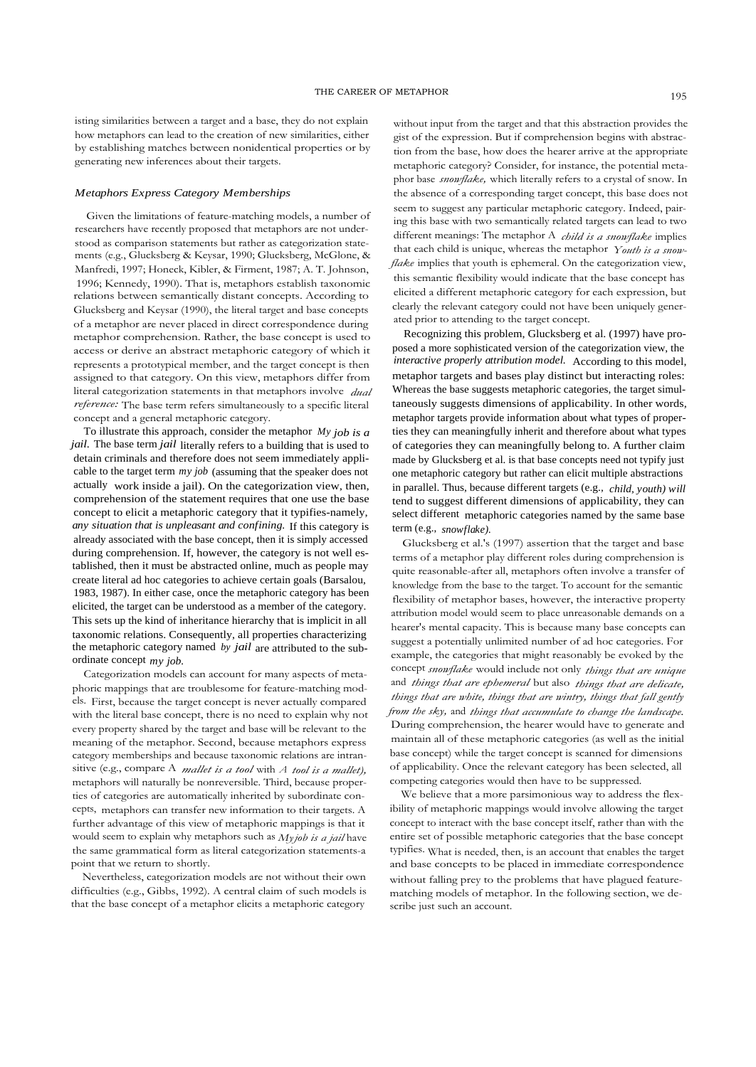isting similarities between a target and a base, they do not explain how metaphors can lead to the creation of new similarities, either by establishing matches between nonidentical properties or by generating new inferences about their targets.

#### *Metaphors Express Category Memberships*

Given the limitations of feature-matching models, a number of researchers have recently proposed that metaphors are not understood as comparison statements but rather as categorization statements (e.g., Glucksberg & Keysar, 1990; Glucksberg, McGlone, & Manfredi, 1997; Honeck, Kibler, & Firment, 1987; A. T. Johnson, 1996; Kennedy, 1990). That is, metaphors establish taxonomic relations between semantically distant concepts. According to Glucksberg and Keysar (1990), the literal target and base concepts of a metaphor are never placed in direct correspondence during metaphor comprehension. Rather, the base concept is used to access or derive an abstract metaphoric category of which it represents a prototypical member, and the target concept is then assigned to that category. On this view, metaphors differ from literal categorization statements in that metaphors involve *dual reference:* The base term refers simultaneously to a specific literal concept and a general metaphoric category.

To illustrate this approach, consider the metaphor *My job is a jail.* The base term *jail* literally refers to a building that is used to detain criminals and therefore does not seem immediately applicable to the target term *my job* (assuming that the speaker does not actually work inside a jail). On the categorization view, then, comprehension of the statement requires that one use the base concept to elicit a metaphoric category that it typifies-namely, *any situation that is unpleasant and confining.* If this category is already associated with the base concept, then it is simply accessed during comprehension. If, however, the category is not well established, then it must be abstracted online, much as people may create literal ad hoc categories to achieve certain goals (Barsalou, 1983, 1987). In either case, once the metaphoric category has been elicited, the target can be understood as a member of the category. This sets up the kind of inheritance hierarchy that is implicit in all taxonomic relations. Consequently, all properties characterizing the metaphoric category named *by jail* are attributed to the subordinate concept *my job.*

Categorization models can account for many aspects of metaphoric mappings that are troublesome for feature-matching models. First, because the target concept is never actually compared with the literal base concept, there is no need to explain why not every property shared by the target and base will be relevant to the meaning of the metaphor. Second, because metaphors express category memberships and because taxonomic relations are intransitive (e.g., compare A *mallet is a tool* with *<sup>A</sup> tool is a mallet),* metaphors will naturally be nonreversible. Third, because properties of categories are automatically inherited by subordinate concepts, metaphors can transfer new information to their targets. A further advantage of this view of metaphoric mappings is that it would seem to explain why metaphors such as *Myjob is a jail* have the same grammatical form as literal categorization statements-a point that we return to shortly.

Nevertheless, categorization models are not without their own difficulties (e.g., Gibbs, 1992). A central claim of such models is that the base concept of a metaphor elicits a metaphoric category

without input from the target and that this abstraction provides the gist of the expression. But if comprehension begins with abstraction from the base, how does the hearer arrive at the appropriate metaphoric category? Consider, for instance, the potential metaphor base *snowflake,* which literally refers to a crystal of snow. In the absence of a corresponding target concept, this base does not seem to suggest any particular metaphoric category. Indeed, pairing this base with two semantically related targets can lead to two different meanings: The metaphor A *child is a snowflake* implies that each child is unique, whereas the metaphor *Youth is a snowflake* implies that youth is ephemeral. On the categorization view, this semantic flexibility would indicate that the base concept has elicited a different metaphoric category for each expression, but clearly the relevant category could not have been uniquely generated prior to attending to the target concept.

Recognizing this problem, Glucksberg et al. (1997) have proposed a more sophisticated version of the categorization view, the *interactive properly attribution model.* According to this model, metaphor targets and bases play distinct but interacting roles: Whereas the base suggests metaphoric categories, the target simultaneously suggests dimensions of applicability. In other words, metaphor targets provide information about what types of properties they can meaningfully inherit and therefore about what types of categories they can meaningfully belong to. A further claim made by Glucksberg et al. is that base concepts need not typify just one metaphoric category but rather can elicit multiple abstractions in parallel. Thus, because different targets (e.g., *child, youth) will* tend to suggest different dimensions of applicability, they can select different metaphoric categories named by the same base term (e.g., *snowflake).*

Glucksberg et al.'s (1997) assertion that the target and base terms of a metaphor play different roles during comprehension is quite reasonable-after all, metaphors often involve a transfer of knowledge from the base to the target. To account for the semantic flexibility of metaphor bases, however, the interactive property attribution model would seem to place unreasonable demands on a hearer's mental capacity. This is because many base concepts can suggest a potentially unlimited number of ad hoc categories. For example, the categories that might reasonably be evoked by the concept *snowflake* would include not only *things that are unique* and *things that are ephemeral* but also *things that are delicate, things that are white, things that are wintry, things that fall gently from the sky,* and *things that accumulate to change the landscape.* During comprehension, the hearer would have to generate and maintain all of these metaphoric categories (as well as the initial base concept) while the target concept is scanned for dimensions of applicability. Once the relevant category has been selected, all competing categories would then have to be suppressed.

We believe that a more parsimonious way to address the flexibility of metaphoric mappings would involve allowing the target concept to interact with the base concept itself, rather than with the entire set of possible metaphoric categories that the base concept typifies. What is needed, then, is an account that enables the target and base concepts to be placed in immediate correspondence without falling prey to the problems that have plagued featurematching models of metaphor. In the following section, we describe just such an account.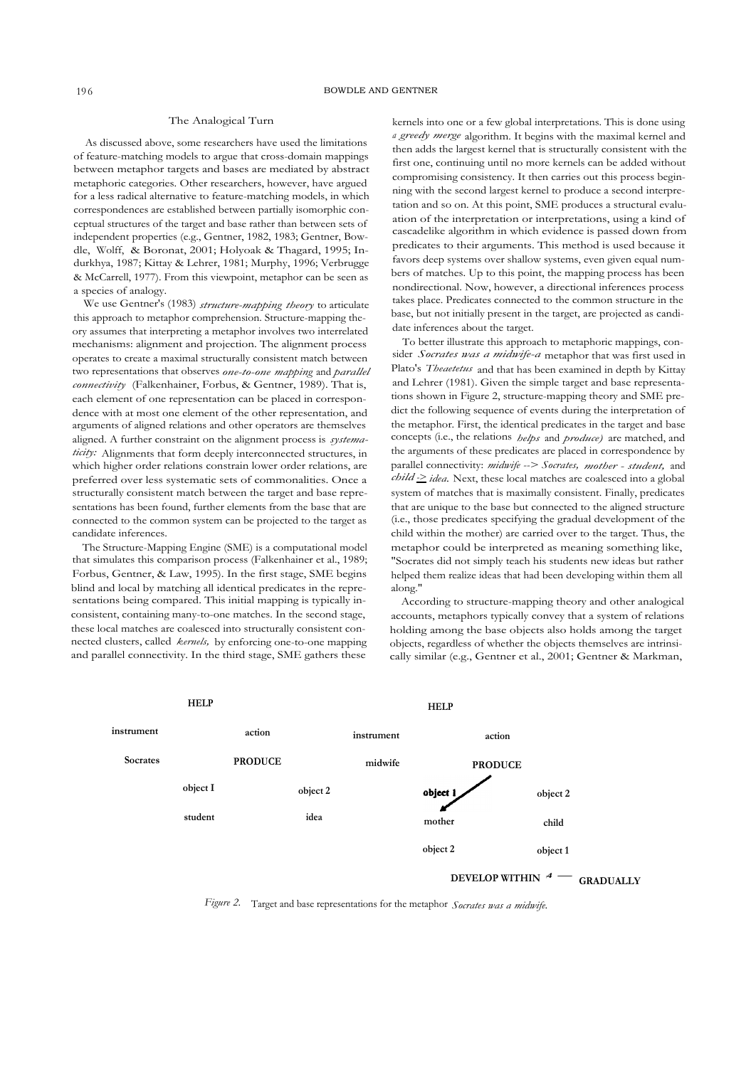## The Analogical Turn

As discussed above, some researchers have used the limitations of feature-matching models to argue that cross-domain mappings between metaphor targets and bases are mediated by abstract metaphoric categories. Other researchers, however, have argued for a less radical alternative to feature-matching models, in which correspondences are established between partially isomorphic conceptual structures of the target and base rather than between sets of independent properties (e.g., Gentner, 1982, 1983; Gentner, Bowdle, Wolff, & Boronat, 2001; Holyoak & Thagard, 1995; Indurkhya, 1987; Kittay & Lehrer, 1981; Murphy, 1996; Verbrugge & McCarrell, 1977). From this viewpoint, metaphor can be seen as a species of analogy.

We use Gentner's (1983) *structure-mapping theory* to articulate this approach to metaphor comprehension. Structure-mapping theory assumes that interpreting a metaphor involves two interrelated mechanisms: alignment and projection. The alignment process operates to create a maximal structurally consistent match between two representations that observes *one-to-one mapping* and *parallel connectivity* (Falkenhainer, Forbus, & Gentner, 1989). That is, each element of one representation can be placed in correspondence with at most one element of the other representation, and arguments of aligned relations and other operators are themselves aligned. A further constraint on the alignment process is *systematicity:* Alignments that form deeply interconnected structures, in which higher order relations constrain lower order relations, are preferred over less systematic sets of commonalities. Once a structurally consistent match between the target and base representations has been found, further elements from the base that are connected to the common system can be projected to the target as candidate inferences.

The Structure-Mapping Engine (SME) is a computational model that simulates this comparison process (Falkenhainer et al., 1989; Forbus, Gentner, & Law, 1995). In the first stage, SME begins blind and local by matching all identical predicates in the representations being compared. This initial mapping is typically inconsistent, containing many-to-one matches. In the second stage, these local matches are coalesced into structurally consistent connected clusters, called *kernels,* by enforcing one-to-one mapping and parallel connectivity. In the third stage, SME gathers these

kernels into one or a few global interpretations. This is done using *<sup>a</sup> greedy merge* algorithm. It begins with the maximal kernel and then adds the largest kernel that is structurally consistent with the first one, continuing until no more kernels can be added without compromising consistency. It then carries out this process beginning with the second largest kernel to produce a second interpretation and so on. At this point, SME produces a structural evaluation of the interpretation or interpretations, using a kind of cascadelike algorithm in which evidence is passed down from predicates to their arguments. This method is used because it favors deep systems over shallow systems, even given equal numbers of matches. Up to this point, the mapping process has been nondirectional. Now, however, a directional inferences process takes place. Predicates connected to the common structure in the base, but not initially present in the target, are projected as candidate inferences about the target.

To better illustrate this approach to metaphoric mappings, consider *Socrates was a midwife-a* metaphor that was first used in Plato's *Theaetetus* and that has been examined in depth by Kittay and Lehrer (1981). Given the simple target and base representations shown in Figure 2, structure-mapping theory and SME predict the following sequence of events during the interpretation of the metaphor. First, the identical predicates in the target and base concepts (i.e., the relations *helps* and *produce)* are matched, and the arguments of these predicates are placed in correspondence by parallel connectivity: *midwife --> Socrates, mother - student,* and  $\textit{child} \geq \textit{idea}$ . Next, these local matches are coalesced into a global system of matches that is maximally consistent. Finally, predicates that are unique to the base but connected to the aligned structure (i.e., those predicates specifying the gradual development of the child within the mother) are carried over to the target. Thus, the metaphor could be interpreted as meaning something like, "Socrates did not simply teach his students new ideas but rather helped them realize ideas that had been developing within them all along."

According to structure-mapping theory and other analogical accounts, metaphors typically convey that a system of relations holding among the base objects also holds among the target objects, regardless of whether the objects themselves are intrinsically similar (e.g., Gentner et al., 2001; Gentner & Markman,



*Figure 2.* Target and base representations for the metaphor *Socrates was a midwife.*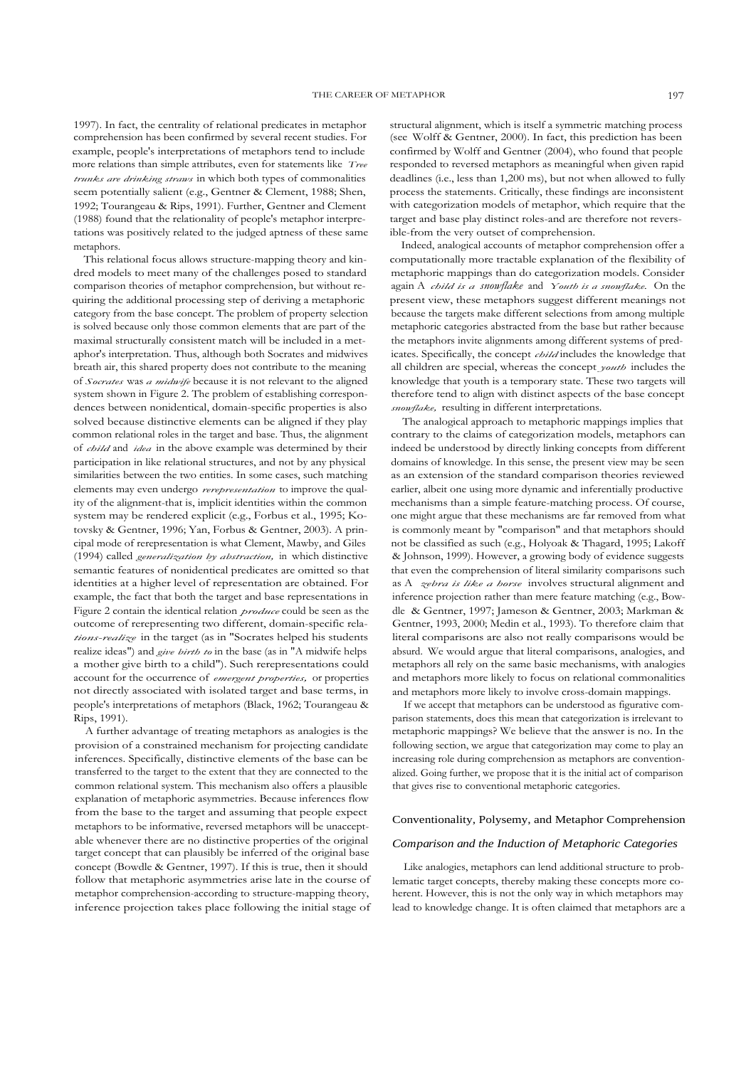1997). In fact, the centrality of relational predicates in metaphor comprehension has been confirmed by several recent studies. For example, people's interpretations of metaphors tend to include more relations than simple attributes, even for statements like *Tree trunks are drinking straws* in which both types of commonalities seem potentially salient (e.g., Gentner & Clement, 1988; Shen, 1992; Tourangeau & Rips, 1991). Further, Gentner and Clement (1988) found that the relationality of people's metaphor interpretations was positively related to the judged aptness of these same metaphors.

This relational focus allows structure-mapping theory and kindred models to meet many of the challenges posed to standard comparison theories of metaphor comprehension, but without requiring the additional processing step of deriving a metaphoric category from the base concept. The problem of property selection is solved because only those common elements that are part of the maximal structurally consistent match will be included in a metaphor's interpretation. Thus, although both Socrates and midwives breath air, this shared property does not contribute to the meaning of *Socrates* was *a midwife* because it is not relevant to the aligned system shown in Figure 2. The problem of establishing correspondences between nonidentical, domain-specific properties is also solved because distinctive elements can be aligned if they play common relational roles in the target and base. Thus, the alignment of *child* and *idea* in the above example was determined by their participation in like relational structures, and not by any physical similarities between the two entities. In some cases, such matching elements may even undergo *rerepresentation* to improve the quality of the alignment-that is, implicit identities within the common system may be rendered explicit (e.g., Forbus et al., 1995; Kotovsky & Gentner, 1996; Yan, Forbus & Gentner, 2003). A principal mode of rerepresentation is what Clement, Mawby, and Giles (1994) called *generalization by abstraction,* in which distinctive semantic features of nonidentical predicates are omitted so that identities at a higher level of representation are obtained. For example, the fact that both the target and base representations in Figure 2 contain the identical relation *produce* could be seen as the outcome of rerepresenting two different, domain-specific rela*tions-realize* in the target (as in "Socrates helped his students realize ideas") and *give birth to* in the base (as in "A midwife helps a mother give birth to a child"). Such rerepresentations could account for the occurrence of *emergent properties,* or properties not directly associated with isolated target and base terms, in people's interpretations of metaphors (Black, 1962; Tourangeau & Rips, 1991).

A further advantage of treating metaphors as analogies is the provision of a constrained mechanism for projecting candidate inferences. Specifically, distinctive elements of the base can be transferred to the target to the extent that they are connected to the common relational system. This mechanism also offers a plausible explanation of metaphoric asymmetries. Because inferences flow from the base to the target and assuming that people expect metaphors to be informative, reversed metaphors will be unacceptable whenever there are no distinctive properties of the original target concept that can plausibly be inferred of the original base concept (Bowdle & Gentner, 1997). If this is true, then it should follow that metaphoric asymmetries arise late in the course of metaphor comprehension-according to structure-mapping theory, inference projection takes place following the initial stage of

structural alignment, which is itself a symmetric matching process (see Wolff & Gentner, 2000). In fact, this prediction has been confirmed by Wolff and Gentner (2004), who found that people responded to reversed metaphors as meaningful when given rapid deadlines (i.e., less than 1,200 ms), but not when allowed to fully process the statements. Critically, these findings are inconsistent with categorization models of metaphor, which require that the target and base play distinct roles-and are therefore not reversible-from the very outset of comprehension.

Indeed, analogical accounts of metaphor comprehension offer a computationally more tractable explanation of the flexibility of metaphoric mappings than do categorization models. Consider again A *child is a snowflake* and *Youth is a snowflake.* On the present view, these metaphors suggest different meanings not because the targets make different selections from among multiple metaphoric categories abstracted from the base but rather because the metaphors invite alignments among different systems of predicates. Specifically, the concept *child* includes the knowledge that all children are special, whereas the concept *youth* includes the knowledge that youth is a temporary state. These two targets will therefore tend to align with distinct aspects of the base concept *snowflake,* resulting in different interpretations.

The analogical approach to metaphoric mappings implies that contrary to the claims of categorization models, metaphors can indeed be understood by directly linking concepts from different domains of knowledge. In this sense, the present view may be seen as an extension of the standard comparison theories reviewed earlier, albeit one using more dynamic and inferentially productive mechanisms than a simple feature-matching process. Of course, one might argue that these mechanisms are far removed from what is commonly meant by "comparison" and that metaphors should not be classified as such (e.g., Holyoak & Thagard, 1995; Lakoff & Johnson, 1999). However, a growing body of evidence suggests that even the comprehension of literal similarity comparisons such as A *zebra is like a horse* involves structural alignment and inference projection rather than mere feature matching (e.g., Bowdle & Gentner, 1997; Jameson & Gentner, 2003; Markman & Gentner, 1993, 2000; Medin et al., 1993). To therefore claim that literal comparisons are also not really comparisons would be absurd. We would argue that literal comparisons, analogies, and metaphors all rely on the same basic mechanisms, with analogies and metaphors more likely to focus on relational commonalities and metaphors more likely to involve cross-domain mappings.

If we accept that metaphors can be understood as figurative comparison statements, does this mean that categorization is irrelevant to metaphoric mappings? We believe that the answer is no. In the following section, we argue that categorization may come to play an increasing role during comprehension as metaphors are conventionalized. Going further, we propose that it is the initial act of comparison that gives rise to conventional metaphoric categories.

### Conventionality, Polysemy, and Metaphor Comprehension

## *Comparison and the Induction of Metaphoric Categories*

Like analogies, metaphors can lend additional structure to problematic target concepts, thereby making these concepts more coherent. However, this is not the only way in which metaphors may lead to knowledge change. It is often claimed that metaphors are a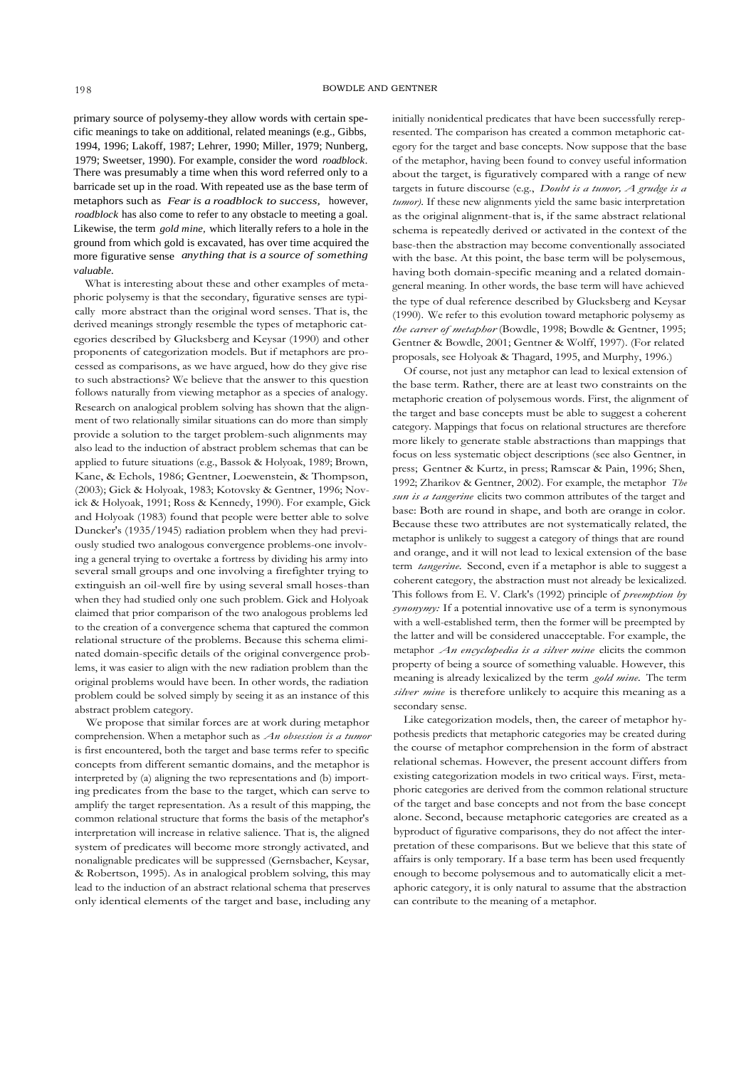primary source of polysemy-they allow words with certain specific meanings to take on additional, related meanings (e.g., Gibbs, 1994, 1996; Lakoff, 1987; Lehrer, 1990; Miller, 1979; Nunberg, 1979; Sweetser, 1990). For example, consider the word *roadblock.* There was presumably a time when this word referred only to a barricade set up in the road. With repeated use as the base term of metaphors such as *Fear is a roadblock to success,* however, *roadblock* has also come to refer to any obstacle to meeting a goal. Likewise, the term *gold mine,* which literally refers to a hole in the ground from which gold is excavated, has over time acquired the more figurative sense *anything that is a source of something valuable.*

What is interesting about these and other examples of metaphoric polysemy is that the secondary, figurative senses are typically more abstract than the original word senses. That is, the derived meanings strongly resemble the types of metaphoric categories described by Glucksberg and Keysar (1990) and other proponents of categorization models. But if metaphors are processed as comparisons, as we have argued, how do they give rise to such abstractions? We believe that the answer to this question follows naturally from viewing metaphor as a species of analogy. Research on analogical problem solving has shown that the alignment of two relationally similar situations can do more than simply provide a solution to the target problem-such alignments may also lead to the induction of abstract problem schemas that can be applied to future situations (e.g., Bassok & Holyoak, 1989; Brown, Kane, & Echols, 1986; Gentner, Loewenstein, & Thompson, (2003); Gick & Holyoak, 1983; Kotovsky & Gentner, 1996; Novick & Holyoak, 1991; Ross & Kennedy, 1990). For example, Gick and Holyoak (1983) found that people were better able to solve Duncker's (1935/1945) radiation problem when they had previously studied two analogous convergence problems-one involving a general trying to overtake a fortress by dividing his army into several small groups and one involving a firefighter trying to extinguish an oil-well fire by using several small hoses-than when they had studied only one such problem. Gick and Holyoak claimed that prior comparison of the two analogous problems led to the creation of a convergence schema that captured the common relational structure of the problems. Because this schema eliminated domain-specific details of the original convergence problems, it was easier to align with the new radiation problem than the original problems would have been. In other words, the radiation problem could be solved simply by seeing it as an instance of this abstract problem category.

We propose that similar forces are at work during metaphor comprehension. When a metaphor such as *An obsession is a tumor* is first encountered, both the target and base terms refer to specific concepts from different semantic domains, and the metaphor is interpreted by (a) aligning the two representations and (b) importing predicates from the base to the target, which can serve to amplify the target representation. As a result of this mapping, the common relational structure that forms the basis of the metaphor's interpretation will increase in relative salience. That is, the aligned system of predicates will become more strongly activated, and nonalignable predicates will be suppressed (Gernsbacher, Keysar, & Robertson, 1995). As in analogical problem solving, this may lead to the induction of an abstract relational schema that preserves only identical elements of the target and base, including any initially nonidentical predicates that have been successfully rerepresented. The comparison has created a common metaphoric category for the target and base concepts. Now suppose that the base of the metaphor, having been found to convey useful information about the target, is figuratively compared with a range of new targets in future discourse (e.g., *Doubt is a tumor, A grudge is a tumor).* If these new alignments yield the same basic interpretation as the original alignment-that is, if the same abstract relational schema is repeatedly derived or activated in the context of the base-then the abstraction may become conventionally associated with the base. At this point, the base term will be polysemous, having both domain-specific meaning and a related domaingeneral meaning. In other words, the base term will have achieved the type of dual reference described by Glucksberg and Keysar (1990). We refer to this evolution toward metaphoric polysemy as *the career of metaphor* (Bowdle, 1998; Bowdle & Gentner, 1995; Gentner & Bowdle, 2001; Gentner & Wolff, 1997). (For related proposals, see Holyoak & Thagard, 1995, and Murphy, 1996.)

Of course, not just any metaphor can lead to lexical extension of the base term. Rather, there are at least two constraints on the metaphoric creation of polysemous words. First, the alignment of the target and base concepts must be able to suggest a coherent category. Mappings that focus on relational structures are therefore more likely to generate stable abstractions than mappings that focus on less systematic object descriptions (see also Gentner, in press; Gentner & Kurtz, in press; Ramscar & Pain, 1996; Shen, 1992; Zharikov & Gentner, 2002). For example, the metaphor *The sun is a tangerine* elicits two common attributes of the target and base: Both are round in shape, and both are orange in color. Because these two attributes are not systematically related, the metaphor is unlikely to suggest a category of things that are round and orange, and it will not lead to lexical extension of the base term *tangerine.* Second, even if a metaphor is able to suggest a coherent category, the abstraction must not already be lexicalized. This follows from E. V. Clark's (1992) principle of *preemption by synonymy:* If a potential innovative use of a term is synonymous with a well-established term, then the former will be preempted by the latter and will be considered unacceptable. For example, the metaphor *An encyclopedia is a silver mine* elicits the common property of being a source of something valuable. However, this meaning is already lexicalized by the term *gold mine.* The term *silver mine* is therefore unlikely to acquire this meaning as a secondary sense.

Like categorization models, then, the career of metaphor hypothesis predicts that metaphoric categories may be created during the course of metaphor comprehension in the form of abstract relational schemas. However, the present account differs from existing categorization models in two critical ways. First, metaphoric categories are derived from the common relational structure of the target and base concepts and not from the base concept alone. Second, because metaphoric categories are created as a byproduct of figurative comparisons, they do not affect the interpretation of these comparisons. But we believe that this state of affairs is only temporary. If a base term has been used frequently enough to become polysemous and to automatically elicit a metaphoric category, it is only natural to assume that the abstraction can contribute to the meaning of a metaphor.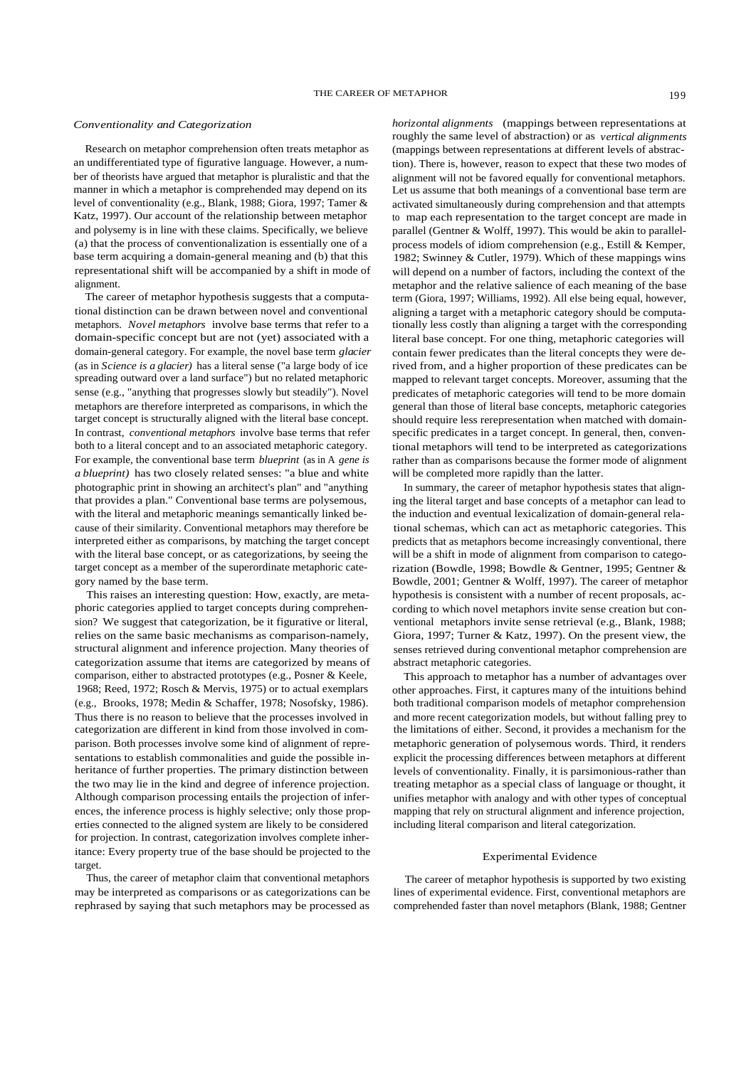## *Conventionality and Categorization*

Research on metaphor comprehension often treats metaphor as an undifferentiated type of figurative language. However, a number of theorists have argued that metaphor is pluralistic and that the manner in which a metaphor is comprehended may depend on its level of conventionality (e.g., Blank, 1988; Giora, 1997; Tamer & Katz, 1997). Our account of the relationship between metaphor and polysemy is in line with these claims. Specifically, we believe (a) that the process of conventionalization is essentially one of a base term acquiring a domain-general meaning and (b) that this representational shift will be accompanied by a shift in mode of alignment.

The career of metaphor hypothesis suggests that a computational distinction can be drawn between novel and conventional metaphors. *Novel metaphors* involve base terms that refer to a domain-specific concept but are not (yet) associated with a domain-general category. For example, the novel base term *glacier* (as in *Science is a glacier)* has a literal sense ("a large body of ice spreading outward over a land surface") but no related metaphoric sense (e.g., "anything that progresses slowly but steadily"). Novel metaphors are therefore interpreted as comparisons, in which the target concept is structurally aligned with the literal base concept. In contrast, *conventional metaphors* involve base terms that refer both to a literal concept and to an associated metaphoric category. For example, the conventional base term *blueprint* (as in A *gene is a blueprint)* has two closely related senses: "a blue and white photographic print in showing an architect's plan" and "anything that provides a plan." Conventional base terms are polysemous, with the literal and metaphoric meanings semantically linked because of their similarity. Conventional metaphors may therefore be interpreted either as comparisons, by matching the target concept with the literal base concept, or as categorizations, by seeing the target concept as a member of the superordinate metaphoric category named by the base term.

This raises an interesting question: How, exactly, are metaphoric categories applied to target concepts during comprehension? We suggest that categorization, be it figurative or literal, relies on the same basic mechanisms as comparison-namely, structural alignment and inference projection. Many theories of categorization assume that items are categorized by means of comparison, either to abstracted prototypes (e.g., Posner & Keele, 1968; Reed, 1972; Rosch & Mervis, 1975) or to actual exemplars (e.g., Brooks, 1978; Medin & Schaffer, 1978; Nosofsky, 1986). Thus there is no reason to believe that the processes involved in categorization are different in kind from those involved in comparison. Both processes involve some kind of alignment of representations to establish commonalities and guide the possible inheritance of further properties. The primary distinction between the two may lie in the kind and degree of inference projection. Although comparison processing entails the projection of inferences, the inference process is highly selective; only those properties connected to the aligned system are likely to be considered for projection. In contrast, categorization involves complete inheritance: Every property true of the base should be projected to the target.

Thus, the career of metaphor claim that conventional metaphors may be interpreted as comparisons or as categorizations can be rephrased by saying that such metaphors may be processed as

*horizontal alignments* (mappings between representations at roughly the same level of abstraction) or as *vertical alignments* (mappings between representations at different levels of abstraction). There is, however, reason to expect that these two modes of alignment will not be favored equally for conventional metaphors. Let us assume that both meanings of a conventional base term are activated simultaneously during comprehension and that attempts to map each representation to the target concept are made in parallel (Gentner & Wolff, 1997). This would be akin to parallelprocess models of idiom comprehension (e.g., Estill & Kemper, 1982; Swinney & Cutler, 1979). Which of these mappings wins will depend on a number of factors, including the context of the metaphor and the relative salience of each meaning of the base term (Giora, 1997; Williams, 1992). All else being equal, however, aligning a target with a metaphoric category should be computationally less costly than aligning a target with the corresponding literal base concept. For one thing, metaphoric categories will contain fewer predicates than the literal concepts they were derived from, and a higher proportion of these predicates can be mapped to relevant target concepts. Moreover, assuming that the predicates of metaphoric categories will tend to be more domain general than those of literal base concepts, metaphoric categories should require less rerepresentation when matched with domainspecific predicates in a target concept. In general, then, conventional metaphors will tend to be interpreted as categorizations rather than as comparisons because the former mode of alignment will be completed more rapidly than the latter.

In summary, the career of metaphor hypothesis states that aligning the literal target and base concepts of a metaphor can lead to the induction and eventual lexicalization of domain-general relational schemas, which can act as metaphoric categories. This predicts that as metaphors become increasingly conventional, there will be a shift in mode of alignment from comparison to categorization (Bowdle, 1998; Bowdle & Gentner, 1995; Gentner & Bowdle, 2001; Gentner & Wolff, 1997). The career of metaphor hypothesis is consistent with a number of recent proposals, according to which novel metaphors invite sense creation but conventional metaphors invite sense retrieval (e.g., Blank, 1988; Giora, 1997; Turner & Katz, 1997). On the present view, the senses retrieved during conventional metaphor comprehension are abstract metaphoric categories.

This approach to metaphor has a number of advantages over other approaches. First, it captures many of the intuitions behind both traditional comparison models of metaphor comprehension and more recent categorization models, but without falling prey to the limitations of either. Second, it provides a mechanism for the metaphoric generation of polysemous words. Third, it renders explicit the processing differences between metaphors at different levels of conventionality. Finally, it is parsimonious-rather than treating metaphor as a special class of language or thought, it unifies metaphor with analogy and with other types of conceptual mapping that rely on structural alignment and inference projection, including literal comparison and literal categorization.

## Experimental Evidence

The career of metaphor hypothesis is supported by two existing lines of experimental evidence. First, conventional metaphors are comprehended faster than novel metaphors (Blank, 1988; Gentner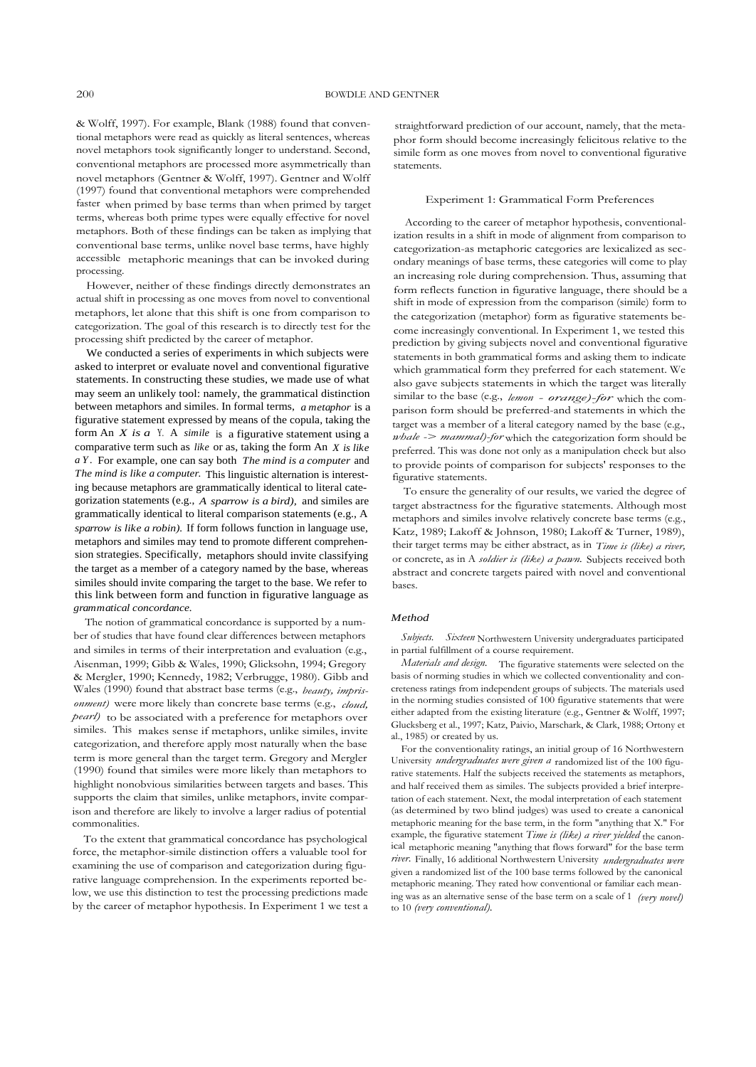& Wolff, 1997). For example, Blank (1988) found that conventional metaphors were read as quickly as literal sentences, whereas novel metaphors took significantly longer to understand. Second, conventional metaphors are processed more asymmetrically than novel metaphors (Gentner & Wolff, 1997). Gentner and Wolff (1997) found that conventional metaphors were comprehended faster when primed by base terms than when primed by target terms, whereas both prime types were equally effective for novel metaphors. Both of these findings can be taken as implying that conventional base terms, unlike novel base terms, have highly accessible metaphoric meanings that can be invoked during processing.

However, neither of these findings directly demonstrates an actual shift in processing as one moves from novel to conventional metaphors, let alone that this shift is one from comparison to categorization. The goal of this research is to directly test for the processing shift predicted by the career of metaphor.

We conducted a series of experiments in which subjects were asked to interpret or evaluate novel and conventional figurative statements. In constructing these studies, we made use of what may seem an unlikely tool: namely, the grammatical distinction between metaphors and similes. In formal terms, *a metaphor* is a figurative statement expressed by means of the copula, taking the form An *X is a* Y. A *simile* is a figurative statement using a comparative term such as *like* or as, taking the form An *X is like a Y.* For example, one can say both *The mind is a computer* and *The mind is like a computer.* This linguistic alternation is interesting because metaphors are grammatically identical to literal categorization statements (e.g., *A sparrow is a bird),* and similes are grammatically identical to literal comparison statements (e.g., A *sparrow is like a robin).* If form follows function in language use, metaphors and similes may tend to promote different comprehension strategies. Specifically, metaphors should invite classifying the target as a member of a category named by the base, whereas similes should invite comparing the target to the base. We refer to this link between form and function in figurative language as *grammatical concordance.*

The notion of grammatical concordance is supported by a number of studies that have found clear differences between metaphors and similes in terms of their interpretation and evaluation (e.g., Aisenman, 1999; Gibb & Wales, 1990; Glicksohn, 1994; Gregory & Mergler, 1990; Kennedy, 1982; Verbrugge, 1980). Gibb and Wales (1990) found that abstract base terms (e.g., *beauty, imprisonment)* were more likely than concrete base terms (e.g., *cloud, pearl)* to be associated with a preference for metaphors over similes. This makes sense if metaphors, unlike similes, invite categorization, and therefore apply most naturally when the base term is more general than the target term. Gregory and Mergler (1990) found that similes were more likely than metaphors to highlight nonobvious similarities between targets and bases. This supports the claim that similes, unlike metaphors, invite comparison and therefore are likely to involve a larger radius of potential commonalities.

To the extent that grammatical concordance has psychological force, the metaphor-simile distinction offers a valuable tool for examining the use of comparison and categorization during figurative language comprehension. In the experiments reported below, we use this distinction to test the processing predictions made by the career of metaphor hypothesis. In Experiment 1 we test a

straightforward prediction of our account, namely, that the metaphor form should become increasingly felicitous relative to the simile form as one moves from novel to conventional figurative statements.

#### Experiment 1: Grammatical Form Preferences

According to the career of metaphor hypothesis, conventionalization results in a shift in mode of alignment from comparison to categorization-as metaphoric categories are lexicalized as secondary meanings of base terms, these categories will come to play an increasing role during comprehension. Thus, assuming that form reflects function in figurative language, there should be a shift in mode of expression from the comparison (simile) form to the categorization (metaphor) form as figurative statements become increasingly conventional. In Experiment 1, we tested this prediction by giving subjects novel and conventional figurative statements in both grammatical forms and asking them to indicate which grammatical form they preferred for each statement. We also gave subjects statements in which the target was literally similar to the base (e.g., *lemon - orange)-for* which the comparison form should be preferred-and statements in which the target was a member of a literal category named by the base (e.g., *whale -> mammal)-for* which the categorization form should be preferred. This was done not only as a manipulation check but also to provide points of comparison for subjects' responses to the figurative statements.

To ensure the generality of our results, we varied the degree of target abstractness for the figurative statements. Although most metaphors and similes involve relatively concrete base terms (e.g., Katz, 1989; Lakoff & Johnson, 1980; Lakoff & Turner, 1989), their target terms may be either abstract, as in *Time is (like) a river,* or concrete, as in A *soldier is (like) a pawn.* Subjects received both abstract and concrete targets paired with novel and conventional bases.

## *Method*

*Subjects. Sixteen* Northwestern University undergraduates participated in partial fulfillment of a course requirement.

*Materials and design.* The figurative statements were selected on the basis of norming studies in which we collected conventionality and concreteness ratings from independent groups of subjects. The materials used in the norming studies consisted of 100 figurative statements that were either adapted from the existing literature (e.g., Gentner & Wolff, 1997; Glucksberg et al., 1997; Katz, Paivio, Marschark, & Clark, 1988; Ortony et al., 1985) or created by us.

For the conventionality ratings, an initial group of 16 Northwestern University *undergraduates were given a* randomized list of the 100 figurative statements. Half the subjects received the statements as metaphors, and half received them as similes. The subjects provided a brief interpretation of each statement. Next, the modal interpretation of each statement (as determined by two blind judges) was used to create a canonical metaphoric meaning for the base term, in the form "anything that X." For example, the figurative statement *Time is (like) a river yielded* the canonical metaphoric meaning "anything that flows forward" for the base term *river.* Finally, 16 additional Northwestern University *undergraduates were* given a randomized list of the 100 base terms followed by the canonical metaphoric meaning. They rated how conventional or familiar each meaning was as an alternative sense of the base term on a scale of 1 *(very novel)* to 10 *(very conventional).*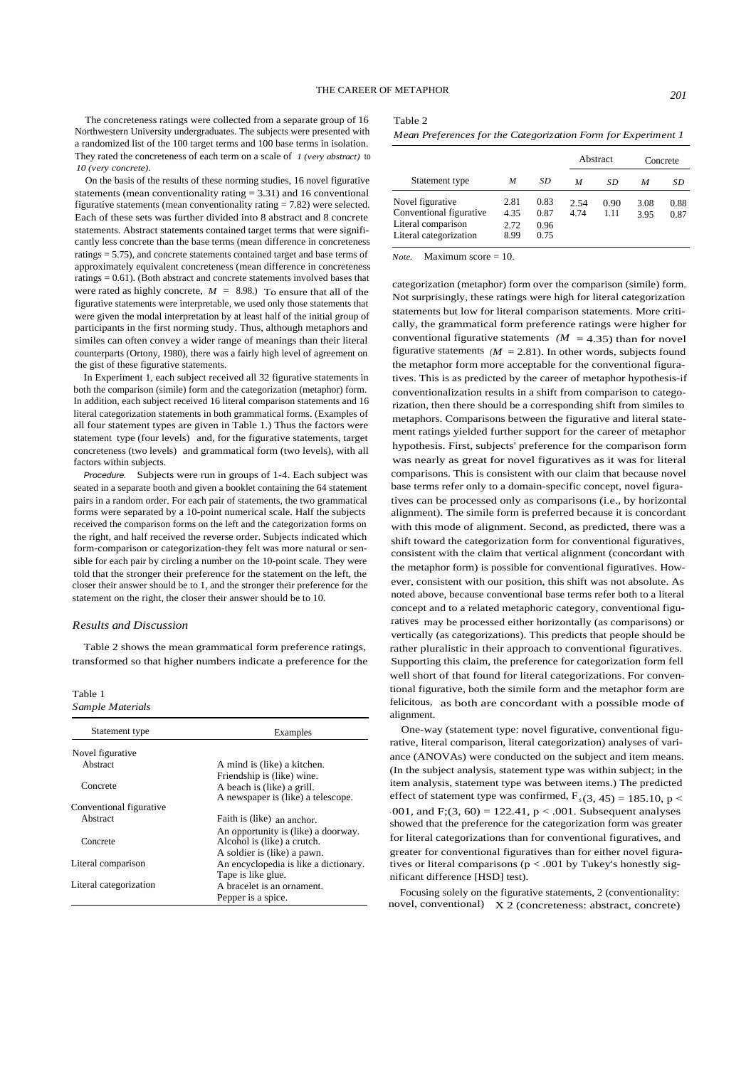The concreteness ratings were collected from a separate group of 16 Northwestern University undergraduates. The subjects were presented with a randomized list of the 100 target terms and 100 base terms in isolation. They rated the concreteness of each term on a scale of *1 (very abstract)* to *10 (very concrete).*

On the basis of the results of these norming studies, 16 novel figurative statements (mean conventionality rating = 3.31) and 16 conventional figurative statements (mean conventionality rating = 7.82) were selected. Each of these sets was further divided into 8 abstract and 8 concrete statements. Abstract statements contained target terms that were significantly less concrete than the base terms (mean difference in concreteness ratings = 5.75), and concrete statements contained target and base terms of approximately equivalent concreteness (mean difference in concreteness ratings = 0.61). (Both abstract and concrete statements involved bases that were rated as highly concrete,  $M = 8.98$ .) To ensure that all of the figurative statements were interpretable, we used only those statements that were given the modal interpretation by at least half of the initial group of participants in the first norming study. Thus, although metaphors and similes can often convey a wider range of meanings than their literal counterparts (Ortony, 1980), there was a fairly high level of agreement on the gist of these figurative statements.

In Experiment 1, each subject received all 32 figurative statements in both the comparison (simile) form and the categorization (metaphor) form. In addition, each subject received 16 literal comparison statements and 16 literal categorization statements in both grammatical forms. (Examples of all four statement types are given in Table 1.) Thus the factors were statement type (four levels) and, for the figurative statements, target concreteness (two levels) and grammatical form (two levels), with all factors within subjects.

Procedure. Subjects were run in groups of 1-4. Each subject was seated in a separate booth and given a booklet containing the 64 statement pairs in a random order. For each pair of statements, the two grammatical forms were separated by a 10-point numerical scale. Half the subjects received the comparison forms on the left and the categorization forms on the right, and half received the reverse order. Subjects indicated which form-comparison or categorization-they felt was more natural or sensible for each pair by circling a number on the 10-point scale. They were told that the stronger their preference for the statement on the left, the closer their answer should be to 1, and the stronger their preference for the statement on the right, the closer their answer should be to 10.

#### *Results and Discussion*

Table 2 shows the mean grammatical form preference ratings, transformed so that higher numbers indicate a preference for the

Table 1 *Sample Materials*

| Statement type          | Examples                                                           |
|-------------------------|--------------------------------------------------------------------|
| Novel figurative        |                                                                    |
| Abstract                | A mind is (like) a kitchen.                                        |
|                         | Friendship is (like) wine.                                         |
| Concrete                | A beach is (like) a grill.                                         |
|                         | A newspaper is (like) a telescope.                                 |
| Conventional figurative |                                                                    |
| Abstract                | Faith is (like) an anchor.                                         |
| Concrete                | An opportunity is (like) a doorway.<br>Alcohol is (like) a crutch. |
|                         | A soldier is (like) a pawn.                                        |
| Literal comparison      | An encyclopedia is like a dictionary.                              |
|                         | Tape is like glue.                                                 |
| Literal categorization  | A bracelet is an ornament.                                         |
|                         | Pepper is a spice.                                                 |

## Table 2

*Mean Preferences for the Categorization Form for Experiment 1*

|                                                                                             |                              |                              |              | Abstract     |              | Concrete     |
|---------------------------------------------------------------------------------------------|------------------------------|------------------------------|--------------|--------------|--------------|--------------|
| Statement type                                                                              | M                            | SD                           | м            | SD           | M            | SD           |
| Novel figurative<br>Conventional figurative<br>Literal comparison<br>Literal categorization | 2.81<br>4.35<br>2.72<br>8.99 | 0.83<br>0.87<br>0.96<br>0.75 | 2.54<br>4.74 | 0.90<br>1.11 | 3.08<br>3.95 | 0.88<br>0.87 |

*Note.* Maximum score = 10.

categorization (metaphor) form over the comparison (simile) form. Not surprisingly, these ratings were high for literal categorization statements but low for literal comparison statements. More critically, the grammatical form preference ratings were higher for conventional figurative statements  $(M = 4.35)$  than for novel figurative statements  $(M = 2.81)$ . In other words, subjects found the metaphor form more acceptable for the conventional figuratives. This is as predicted by the career of metaphor hypothesis-if conventionalization results in a shift from comparison to categorization, then there should be a corresponding shift from similes to metaphors. Comparisons between the figurative and literal statement ratings yielded further support for the career of metaphor hypothesis. First, subjects' preference for the comparison form was nearly as great for novel figuratives as it was for literal comparisons. This is consistent with our claim that because novel base terms refer only to a domain-specific concept, novel figuratives can be processed only as comparisons (i.e., by horizontal alignment). The simile form is preferred because it is concordant with this mode of alignment. Second, as predicted, there was a shift toward the categorization form for conventional figuratives, consistent with the claim that vertical alignment (concordant with the metaphor form) is possible for conventional figuratives. However, consistent with our position, this shift was not absolute. As noted above, because conventional base terms refer both to a literal concept and to a related metaphoric category, conventional figuratives may be processed either horizontally (as comparisons) or vertically (as categorizations). This predicts that people should be rather pluralistic in their approach to conventional figuratives. Supporting this claim, the preference for categorization form fell well short of that found for literal categorizations. For conventional figurative, both the simile form and the metaphor form are felicitous, as both are concordant with a possible mode of alignment.

One-way (statement type: novel figurative, conventional figurative, literal comparison, literal categorization) analyses of variance (ANOVAs) were conducted on the subject and item means. (In the subject analysis, statement type was within subject; in the item analysis, statement type was between items.) The predicted effect of statement type was confirmed,  $F_s(3, 45) = 185.10$ , p < 001, and F;(3, 60) = 122.41,  $p < .001$ . Subsequent analyses showed that the preference for the categorization form was greater for literal categorizations than for conventional figuratives, and greater for conventional figuratives than for either novel figuratives or literal comparisons ( $p < .001$  by Tukey's honestly significant difference [HSD] test).

Focusing solely on the figurative statements, 2 (conventionality: novel, conventional) X 2 (concreteness: abstract, concrete)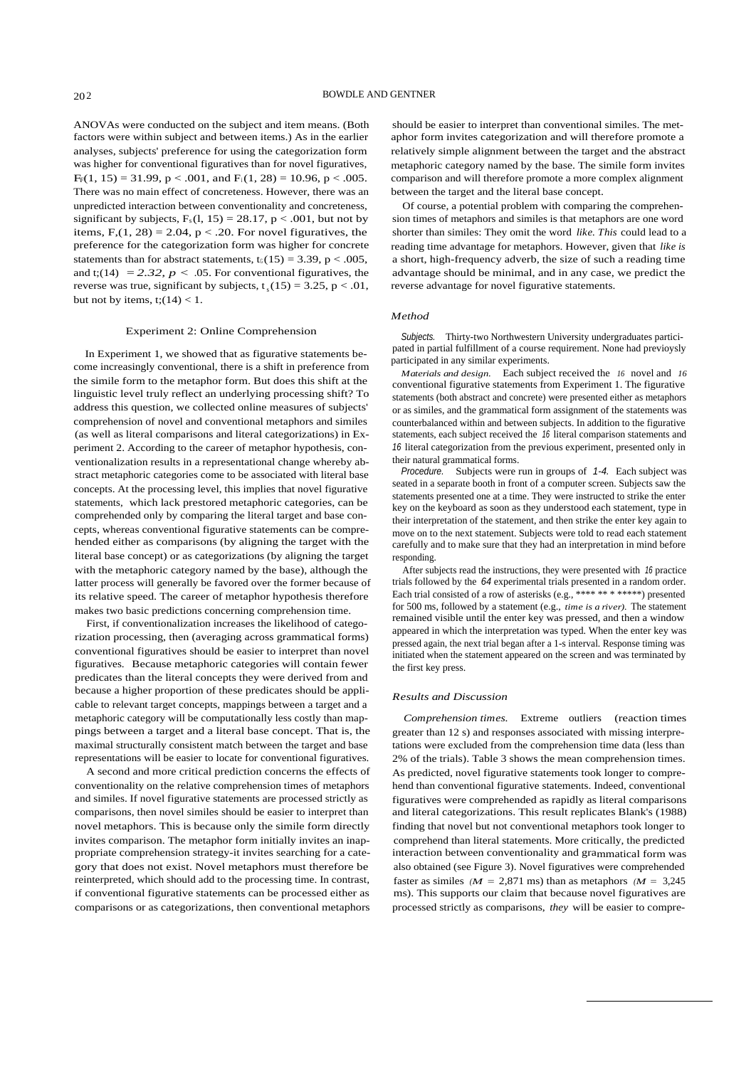ANOVAs were conducted on the subject and item means. (Both factors were within subject and between items.) As in the earlier analyses, subjects' preference for using the categorization form was higher for conventional figuratives than for novel figuratives,  $F_F(1, 15) = 31.99$ ,  $p < .001$ , and  $F_i(1, 28) = 10.96$ ,  $p < .005$ . There was no main effect of concreteness. However, there was an unpredicted interaction between conventionality and concreteness, significant by subjects,  $F_s(1, 15) = 28.17$ ,  $p < .001$ , but not by items,  $F(1, 28) = 2.04$ ,  $p < 0.20$ . For novel figuratives, the preference for the categorization form was higher for concrete statements than for abstract statements,  $t<sub>0</sub>(15) = 3.39$ ,  $p < .005$ , and t;(14)  $= 2.32, p < .05$ . For conventional figuratives, the reverse was true, significant by subjects,  $t_s(15) = 3.25$ ,  $p < .01$ , but not by items,  $t$ ; $(14) < 1$ .

#### Experiment 2: Online Comprehension

In Experiment 1, we showed that as figurative statements become increasingly conventional, there is a shift in preference from the simile form to the metaphor form. But does this shift at the linguistic level truly reflect an underlying processing shift? To address this question, we collected online measures of subjects' comprehension of novel and conventional metaphors and similes (as well as literal comparisons and literal categorizations) in Experiment 2. According to the career of metaphor hypothesis, conventionalization results in a representational change whereby abstract metaphoric categories come to be associated with literal base concepts. At the processing level, this implies that novel figurative statements, which lack prestored metaphoric categories, can be comprehended only by comparing the literal target and base concepts, whereas conventional figurative statements can be comprehended either as comparisons (by aligning the target with the literal base concept) or as categorizations (by aligning the target with the metaphoric category named by the base), although the latter process will generally be favored over the former because of its relative speed. The career of metaphor hypothesis therefore makes two basic predictions concerning comprehension time.

First, if conventionalization increases the likelihood of categorization processing, then (averaging across grammatical forms) conventional figuratives should be easier to interpret than novel figuratives. Because metaphoric categories will contain fewer predicates than the literal concepts they were derived from and because a higher proportion of these predicates should be applicable to relevant target concepts, mappings between a target and a metaphoric category will be computationally less costly than mappings between a target and a literal base concept. That is, the maximal structurally consistent match between the target and base representations will be easier to locate for conventional figuratives.

A second and more critical prediction concerns the effects of conventionality on the relative comprehension times of metaphors and similes. If novel figurative statements are processed strictly as comparisons, then novel similes should be easier to interpret than novel metaphors. This is because only the simile form directly invites comparison. The metaphor form initially invites an inappropriate comprehension strategy-it invites searching for a category that does not exist. Novel metaphors must therefore be reinterpreted, which should add to the processing time. In contrast, if conventional figurative statements can be processed either as comparisons or as categorizations, then conventional metaphors

should be easier to interpret than conventional similes. The metaphor form invites categorization and will therefore promote a relatively simple alignment between the target and the abstract metaphoric category named by the base. The simile form invites comparison and will therefore promote a more complex alignment between the target and the literal base concept.

Of course, a potential problem with comparing the comprehension times of metaphors and similes is that metaphors are one word shorter than similes: They omit the word *like. This* could lead to a reading time advantage for metaphors. However, given that *like is* a short, high-frequency adverb, the size of such a reading time advantage should be minimal, and in any case, we predict the reverse advantage for novel figurative statements.

#### *Method*

Subjects. Thirty-two Northwestern University undergraduates participated in partial fulfillment of a course requirement. None had previoysly participated in any similar experiments.

*Materials and design.* Each subject received the *16* novel and *16* conventional figurative statements from Experiment 1. The figurative statements (both abstract and concrete) were presented either as metaphors or as similes, and the grammatical form assignment of the statements was counterbalanced within and between subjects. In addition to the figurative statements, each subject received the <sup>16</sup> literal comparison statements and 16 literal categorization from the previous experiment, presented only in their natural grammatical forms.

Procedure. Subjects were run in groups of 1-4. Each subject was seated in a separate booth in front of a computer screen. Subjects saw the statements presented one at a time. They were instructed to strike the enter key on the keyboard as soon as they understood each statement, type in their interpretation of the statement, and then strike the enter key again to move on to the next statement. Subjects were told to read each statement carefully and to make sure that they had an interpretation in mind before responding.

After subjects read the instructions, they were presented with <sup>16</sup> practice trials followed by the 64 experimental trials presented in a random order. Each trial consisted of a row of asterisks  $(e.g., *********)$  presented for 500 ms, followed by a statement (e.g., *time is a river).* The statement remained visible until the enter key was pressed, and then a window appeared in which the interpretation was typed. When the enter key was pressed again, the next trial began after a 1-s interval. Response timing was initiated when the statement appeared on the screen and was terminated by the first key press.

## *Results and Discussion*

*Comprehension times.* Extreme outliers (reaction times greater than 12 s) and responses associated with missing interpretations were excluded from the comprehension time data (less than 2% of the trials). Table 3 shows the mean comprehension times. As predicted, novel figurative statements took longer to comprehend than conventional figurative statements. Indeed, conventional figuratives were comprehended as rapidly as literal comparisons and literal categorizations. This result replicates Blank's (1988) finding that novel but not conventional metaphors took longer to comprehend than literal statements. More critically, the predicted interaction between conventionality and grammatical form was also obtained (see Figure 3). Novel figuratives were comprehended faster as similes  $(M = 2,871 \text{ ms})$  than as metaphors  $(M = 3,245 \text{ ms})$ ms). This supports our claim that because novel figuratives are processed strictly as comparisons, *they* will be easier to compre-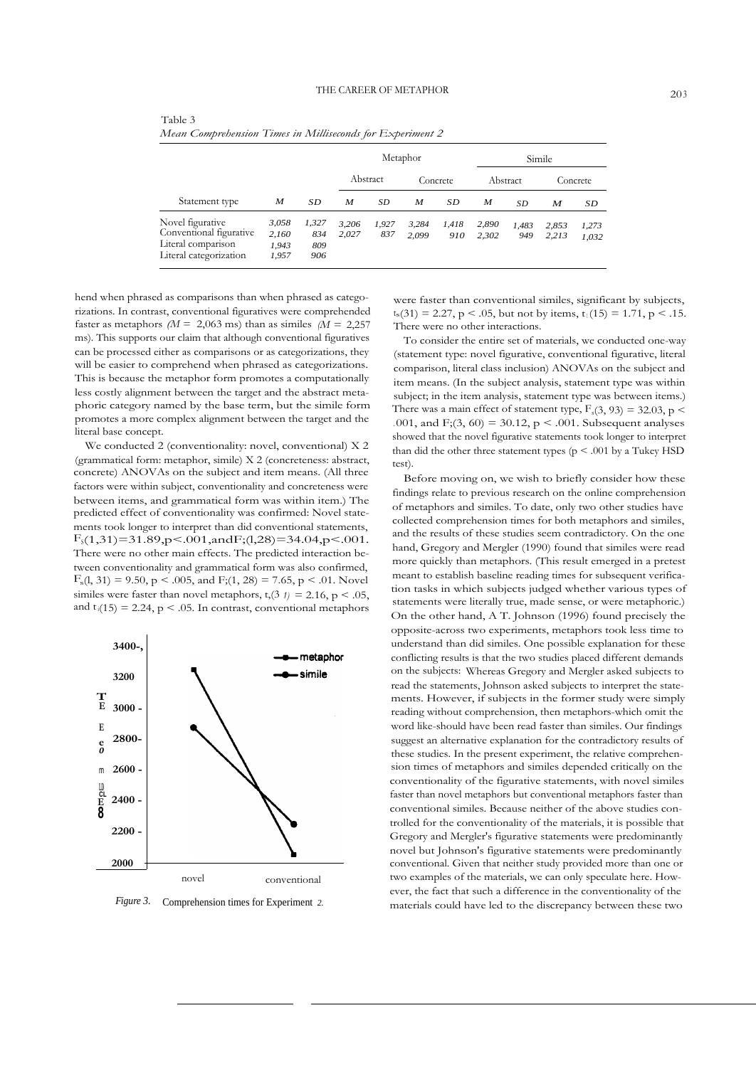|                                                                                             |                                  |                            |                |              | Metaphor       |              | Simile         |              |                |                |  |
|---------------------------------------------------------------------------------------------|----------------------------------|----------------------------|----------------|--------------|----------------|--------------|----------------|--------------|----------------|----------------|--|
|                                                                                             |                                  |                            | Abstract       |              | Concrete       |              | Abstract       |              | Concrete       |                |  |
| Statement type                                                                              | M                                | SD                         | M              | SD           | M              | SD           | M              | SD           | M              | SD             |  |
| Novel figurative<br>Conventional figurative<br>Literal comparison<br>Literal categorization | 3,058<br>2,160<br>1,943<br>1,957 | 1,327<br>834<br>809<br>906 | 3.206<br>2,027 | 1,927<br>837 | 3,284<br>2.099 | 1,418<br>910 | 2,890<br>2,302 | 1.483<br>949 | 2,853<br>2,213 | 1,273<br>1,032 |  |

Table 3 *Mean Comprehension Times in Milliseconds for Experiment 2*

hend when phrased as comparisons than when phrased as categorizations. In contrast, conventional figuratives were comprehended faster as metaphors  $/M = 2,063$  ms) than as similes  $/M = 2,257$ ms). This supports our claim that although conventional figuratives can be processed either as comparisons or as categorizations, they will be easier to comprehend when phrased as categorizations. This is because the metaphor form promotes a computationally less costly alignment between the target and the abstract metaphoric category named by the base term, but the simile form promotes a more complex alignment between the target and the literal base concept.

We conducted 2 (conventionality: novel, conventional) X 2 (grammatical form: metaphor, simile) X 2 (concreteness: abstract, concrete) ANOVAs on the subject and item means. (All three factors were within subject, conventionality and concreteness were between items, and grammatical form was within item.) The predicted effect of conventionality was confirmed: Novel statements took longer to interpret than did conventional statements,  $F<sub>s</sub>(1,31)=31.89, p<.001, and F<sub>s</sub>(1,28)=34.04, p<.001.$ There were no other main effects. The predicted interaction between conventionality and grammatical form was also confirmed,  $F_s(1, 31) = 9.50, p < .005, and F<sub>1</sub>(1, 28) = 7.65, p < .01.$  Novel similes were faster than novel metaphors,  $t$ ,  $(3 \t/2) = 2.16$ ,  $p < .05$ , and  $t_i(15) = 2.24$ , p < .05. In contrast, conventional metaphors



*Figure 3.* Comprehension times for Experiment *2.*

were faster than conventional similes, significant by subjects,  $t_s(31) = 2.27$ ,  $p < .05$ , but not by items,  $t_1(15) = 1.71$ ,  $p < .15$ . There were no other interactions.

To consider the entire set of materials, we conducted one-way (statement type: novel figurative, conventional figurative, literal comparison, literal class inclusion) ANOVAs on the subject and item means. (In the subject analysis, statement type was within subject; in the item analysis, statement type was between items.) There was a main effect of statement type,  $F_s(3, 93) = 32.03$ , p < .001, and F;(3, 60) = 30.12,  $p < .001$ . Subsequent analyses showed that the novel figurative statements took longer to interpret than did the other three statement types ( $p < .001$  by a Tukey HSD test).

Before moving on, we wish to briefly consider how these findings relate to previous research on the online comprehension of metaphors and similes. To date, only two other studies have collected comprehension times for both metaphors and similes, and the results of these studies seem contradictory. On the one hand, Gregory and Mergler (1990) found that similes were read more quickly than metaphors. (This result emerged in a pretest meant to establish baseline reading times for subsequent verification tasks in which subjects judged whether various types of statements were literally true, made sense, or were metaphoric.) On the other hand, A T. Johnson (1996) found precisely the opposite-across two experiments, metaphors took less time to understand than did similes. One possible explanation for these conflicting results is that the two studies placed different demands on the subjects: Whereas Gregory and Mergler asked subjects to read the statements, Johnson asked subjects to interpret the statements. However, if subjects in the former study were simply reading without comprehension, then metaphors-which omit the word like-should have been read faster than similes. Our findings suggest an alternative explanation for the contradictory results of these studies. In the present experiment, the relative comprehension times of metaphors and similes depended critically on the conventionality of the figurative statements, with novel similes faster than novel metaphors but conventional metaphors faster than conventional similes. Because neither of the above studies controlled for the conventionality of the materials, it is possible that Gregory and Mergler's figurative statements were predominantly novel but Johnson's figurative statements were predominantly conventional. Given that neither study provided more than one or two examples of the materials, we can only speculate here. However, the fact that such a difference in the conventionality of the materials could have led to the discrepancy between these two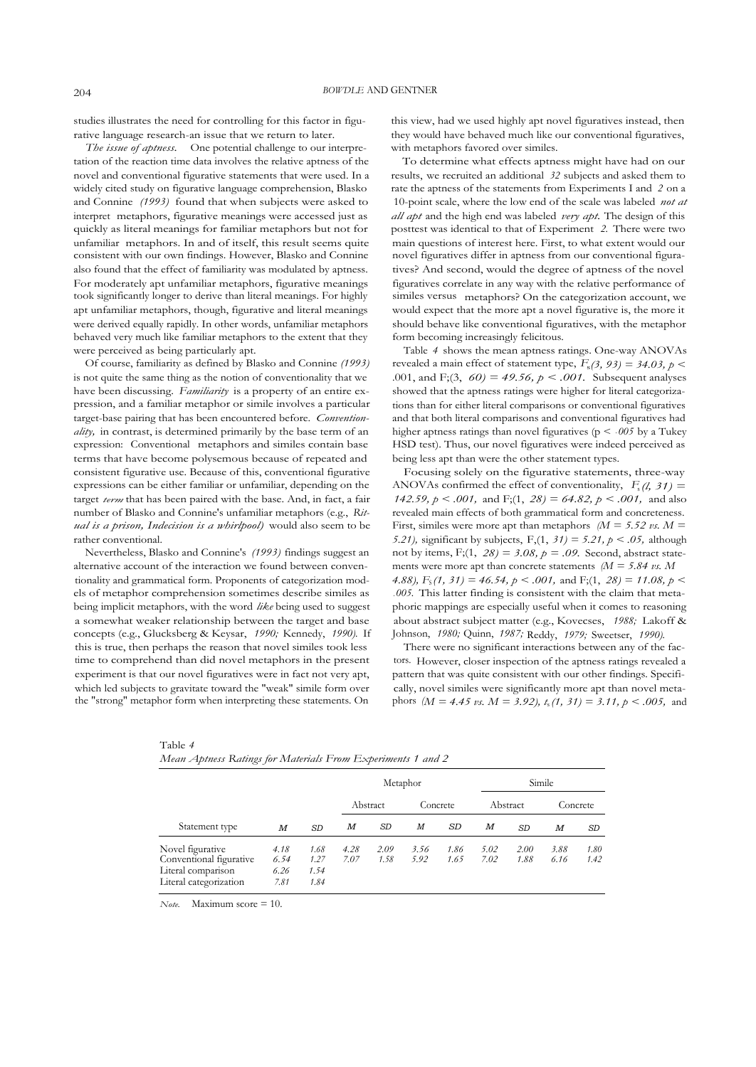studies illustrates the need for controlling for this factor in figurative language research-an issue that we return to later.

*The issue of aptness.* One potential challenge to our interpretation of the reaction time data involves the relative aptness of the novel and conventional figurative statements that were used. In a widely cited study on figurative language comprehension, Blasko and Connine *(1993)* found that when subjects were asked to interpret metaphors, figurative meanings were accessed just as quickly as literal meanings for familiar metaphors but not for unfamiliar metaphors. In and of itself, this result seems quite consistent with our own findings. However, Blasko and Connine also found that the effect of familiarity was modulated by aptness. For moderately apt unfamiliar metaphors, figurative meanings took significantly longer to derive than literal meanings. For highly apt unfamiliar metaphors, though, figurative and literal meanings were derived equally rapidly. In other words, unfamiliar metaphors behaved very much like familiar metaphors to the extent that they were perceived as being particularly apt.

Of course, familiarity as defined by Blasko and Connine *(1993)* is not quite the same thing as the notion of conventionality that we have been discussing. *Familiarity* is a property of an entire expression, and a familiar metaphor or simile involves a particular target-base pairing that has been encountered before. *Conventionality,* in contrast, is determined primarily by the base term of an expression: Conventional metaphors and similes contain base terms that have become polysemous because of repeated and consistent figurative use. Because of this, conventional figurative expressions can be either familiar or unfamiliar, depending on the target *term* that has been paired with the base. And, in fact, a fair number of Blasko and Connine's unfamiliar metaphors (e.g., *Ritual is a prison, Indecision is a whirlpool)* would also seem to be rather conventional.

Nevertheless, Blasko and Connine's *(1993)* findings suggest an alternative account of the interaction we found between conventionality and grammatical form. Proponents of categorization models of metaphor comprehension sometimes describe similes as being implicit metaphors, with the word *like* being used to suggest a somewhat weaker relationship between the target and base concepts (e.g., Glucksberg & Keysar, *1990;* Kennedy, *1990).* If this is true, then perhaps the reason that novel similes took less time to comprehend than did novel metaphors in the present experiment is that our novel figuratives were in fact not very apt, which led subjects to gravitate toward the "weak" simile form over the "strong" metaphor form when interpreting these statements. On

Table *4*

this view, had we used highly apt novel figuratives instead, then they would have behaved much like our conventional figuratives, with metaphors favored over similes.

To determine what effects aptness might have had on our results, we recruited an additional *32* subjects and asked them to rate the aptness of the statements from Experiments I and *2* on a 10-point scale, where the low end of the scale was labeled *not at all apt* and the high end was labeled *very apt.* The design of this posttest was identical to that of Experiment *2.* There were two main questions of interest here. First, to what extent would our novel figuratives differ in aptness from our conventional figuratives? And second, would the degree of aptness of the novel figuratives correlate in any way with the relative performance of similes versus metaphors? On the categorization account, we would expect that the more apt a novel figurative is, the more it should behave like conventional figuratives, with the metaphor form becoming increasingly felicitous.

Table *4* shows the mean aptness ratings. One-way ANOVAs revealed a main effect of statement type, *F*<sup>s</sup> *(3, 93) = 34.03, p <* .001, and F;(3,  $60$ ) = 49.56,  $p < .001$ . Subsequent analyses showed that the aptness ratings were higher for literal categorizations than for either literal comparisons or conventional figuratives and that both literal comparisons and conventional figuratives had higher aptness ratings than novel figuratives (p < *. 005* by a Tukey HSD test). Thus, our novel figuratives were indeed perceived as being less apt than were the other statement types.

Focusing solely on the figurative statements, three-way ANOVAs confirmed the effect of conventionality,  $F_s$  *(l, 31)* = *142.59, p < .001,* and F;(1,  $28$ ) =  $64.82$ ,  $p$  < .001, and also revealed main effects of both grammatical form and concreteness. First, similes were more apt than metaphors *(M = 5.52 vs. M = 5.21*), significant by subjects,  $F_1(1, 31) = 5.21$ ,  $p < .05$ , although not by items,  $F$ ;(1,  $28$ ) = 3.08,  $p = .09$ . Second, abstract statements were more apt than concrete statements *(M = 5.84 vs. M 4.88),*  $F_s(1, 31) = 46.54$ ,  $p < .001$ , and  $F_s(1, 28) = 11.08$ ,  $p <$ *. 005.* This latter finding is consistent with the claim that metaphoric mappings are especially useful when it comes to reasoning about abstract subject matter (e.g., Kovecses, *1988;* Lakoff & Johnson, *1980;* Quinn, *1987;* Reddy, *1979;* Sweetser, *1990).*

There were no significant interactions between any of the factors. However, closer inspection of the aptness ratings revealed a pattern that was quite consistent with our other findings. Specifically, novel similes were significantly more apt than novel metaphors *(M = 4.45 vs. M = 3.92), t*<sup>s</sup> *(1, 31) = 3.11, p < .005,* and

| $1$ avit $\tau$                                             |
|-------------------------------------------------------------|
| Mean Aptness Ratings for Materials From Experiments 1 and 2 |
|                                                             |

|                                                                                             |                              |                              | Metaphor     |              |              |              | Simile       |              |              |              |
|---------------------------------------------------------------------------------------------|------------------------------|------------------------------|--------------|--------------|--------------|--------------|--------------|--------------|--------------|--------------|
|                                                                                             |                              |                              |              | Abstract     | Concrete     |              | Abstract     |              | Concrete     |              |
| Statement type                                                                              | М                            | <b>SD</b>                    | M            | SD           | $_{M}$       | SD           | $_{M}$       | SD           | М            | SD           |
| Novel figurative<br>Conventional figurative<br>Literal comparison<br>Literal categorization | 4.18<br>6.54<br>6.26<br>7.81 | 1.68<br>1.27<br>1.54<br>1.84 | 4.28<br>7.07 | 2.09<br>1.58 | 3.56<br>5.92 | 1.86<br>1.65 | 5.02<br>7.02 | 2.00<br>1.88 | 3.88<br>6.16 | 1.80<br>1.42 |

*Note.* Maximum score = 10.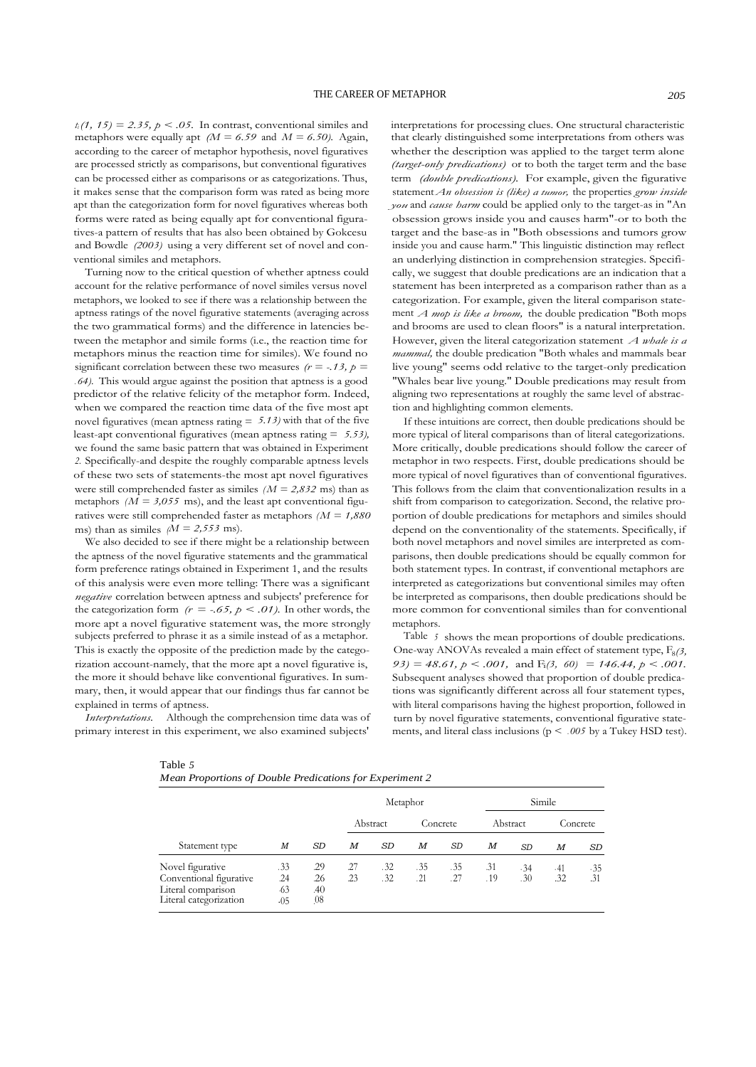$t_i(1, 15) = 2.35$ ,  $p < .05$ . In contrast, conventional similes and metaphors were equally apt *(M = 6.59* and *M = 6.50).* Again, according to the career of metaphor hypothesis, novel figuratives are processed strictly as comparisons, but conventional figuratives can be processed either as comparisons or as categorizations. Thus, it makes sense that the comparison form was rated as being more apt than the categorization form for novel figuratives whereas both forms were rated as being equally apt for conventional figuratives-a pattern of results that has also been obtained by Gokcesu and Bowdle *(2003)* using a very different set of novel and conventional similes and metaphors.

Turning now to the critical question of whether aptness could account for the relative performance of novel similes versus novel metaphors, we looked to see if there was a relationship between the aptness ratings of the novel figurative statements (averaging across the two grammatical forms) and the difference in latencies between the metaphor and simile forms (i.e., the reaction time for metaphors minus the reaction time for similes). We found no significant correlation between these two measures  $(r = -13, p =$ *. 64).* This would argue against the position that aptness is a good predictor of the relative felicity of the metaphor form. Indeed, when we compared the reaction time data of the five most apt novel figuratives (mean aptness rating = *5.13)* with that of the five least-apt conventional figuratives (mean aptness rating = *5.53),* we found the same basic pattern that was obtained in Experiment *2.* Specifically-and despite the roughly comparable aptness levels of these two sets of statements-the most apt novel figuratives were still comprehended faster as similes *(M = 2,832* ms) than as metaphors  $(M = 3.055$  ms), and the least apt conventional figuratives were still comprehended faster as metaphors *(M = 1,880* ms) than as similes  $/M = 2,553$  ms).

We also decided to see if there might be a relationship between the aptness of the novel figurative statements and the grammatical form preference ratings obtained in Experiment 1, and the results of this analysis were even more telling: There was a significant *negative* correlation between aptness and subjects' preference for the categorization form  $(r = -.65, p < .01)$ . In other words, the more apt a novel figurative statement was, the more strongly subjects preferred to phrase it as a simile instead of as a metaphor. This is exactly the opposite of the prediction made by the categorization account-namely, that the more apt a novel figurative is, the more it should behave like conventional figuratives. In summary, then, it would appear that our findings thus far cannot be explained in terms of aptness.

*Interpretations.* Although the comprehension time data was of primary interest in this experiment, we also examined subjects'

interpretations for processing clues. One structural characteristic that clearly distinguished some interpretations from others was whether the description was applied to the target term alone *(target-only predications)* or to both the target term and the base term *(double predications).* For example, given the figurative statement*An obsession is (like) a tumor,* the properties *grow inside you* and *cause harm* could be applied only to the target-as in "An obsession grows inside you and causes harm"-or to both the target and the base-as in "Both obsessions and tumors grow inside you and cause harm." This linguistic distinction may reflect an underlying distinction in comprehension strategies. Specifically, we suggest that double predications are an indication that a statement has been interpreted as a comparison rather than as a categorization. For example, given the literal comparison statement *A mop is like a broom,* the double predication "Both mops and brooms are used to clean floors" is a natural interpretation. However, given the literal categorization statement *A whale is a mammal,* the double predication "Both whales and mammals bear live young" seems odd relative to the target-only predication "Whales bear live young." Double predications may result from aligning two representations at roughly the same level of abstraction and highlighting common elements.

If these intuitions are correct, then double predications should be more typical of literal comparisons than of literal categorizations. More critically, double predications should follow the career of metaphor in two respects. First, double predications should be more typical of novel figuratives than of conventional figuratives. This follows from the claim that conventionalization results in a shift from comparison to categorization. Second, the relative proportion of double predications for metaphors and similes should depend on the conventionality of the statements. Specifically, if both novel metaphors and novel similes are interpreted as comparisons, then double predications should be equally common for both statement types. In contrast, if conventional metaphors are interpreted as categorizations but conventional similes may often be interpreted as comparisons, then double predications should be more common for conventional similes than for conventional metaphors.

Table *<sup>5</sup>* shows the mean proportions of double predications. One-way ANOVAs revealed a main effect of statement type, F<sub>8</sub>(3,  $93) = 48.61, p < .001$ , and  $F_i(3, 60) = 146.44, p < .001$ . Subsequent analyses showed that proportion of double predications was significantly different across all four statement types, with literal comparisons having the highest proportion, followed in turn by novel figurative statements, conventional figurative statements, and literal class inclusions (p < *. 005* by a Tukey HSD test).

Table *5 Mean Proportions of Double Predications for Experiment 2*

|                                                                                             |                              |                          | Metaphor         |            |            |             | Simile     |            |            |            |
|---------------------------------------------------------------------------------------------|------------------------------|--------------------------|------------------|------------|------------|-------------|------------|------------|------------|------------|
|                                                                                             |                              |                          |                  | Abstract   |            | Concrete    |            | Abstract   |            | Concrete   |
| Statement type                                                                              | $_{M}$                       | <i>SD</i>                | $\boldsymbol{M}$ | <i>SD</i>  | $_{M}$     | SD          | М          | <b>SD</b>  | $_{M}$     | SD         |
| Novel figurative<br>Conventional figurative<br>Literal comparison<br>Literal categorization | .33<br>.24<br>$-63$<br>$-05$ | .29<br>.26<br>.40<br>.08 | .27<br>.23       | .32<br>.32 | .35<br>.21 | . 35<br>.27 | .31<br>.19 | .34<br>.30 | .41<br>.32 | .35<br>.31 |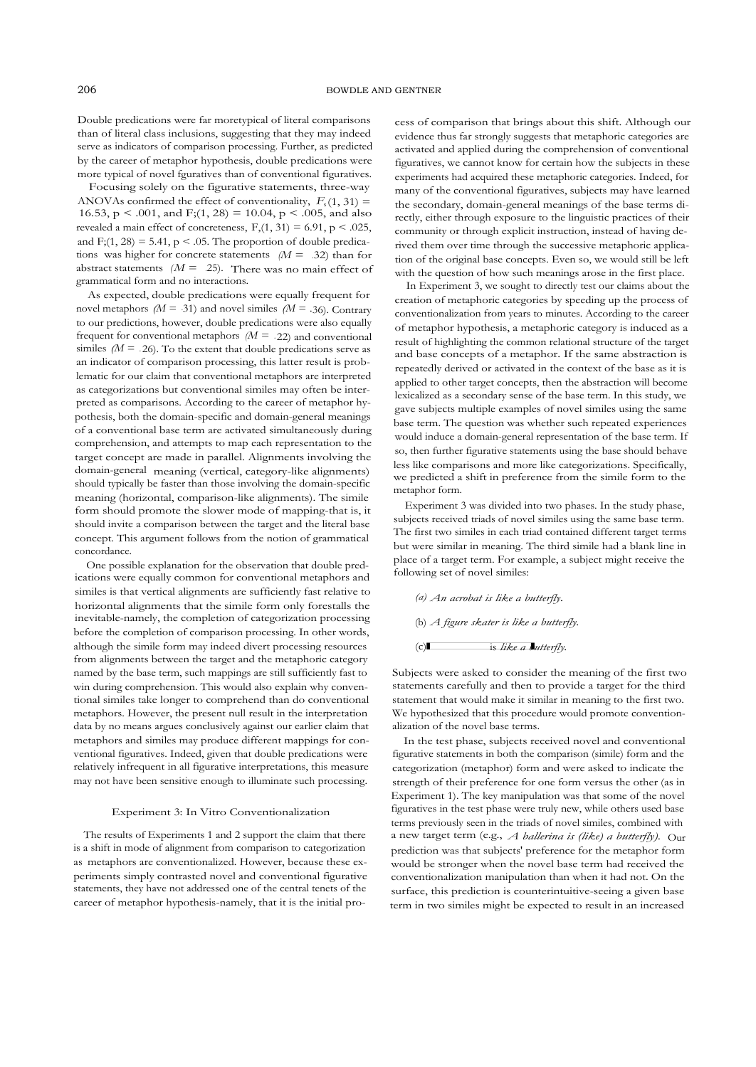Double predications were far moretypical of literal comparisons than of literal class inclusions, suggesting that they may indeed serve as indicators of comparison processing. Further, as predicted by the career of metaphor hypothesis, double predications were more typical of novel fguratives than of conventional figuratives.

Focusing solely on the figurative statements, three-way ANOVAs confirmed the effect of conventionality,  $F_s(1, 31) =$ 16.53, p < .001, and F;(1, 28) = 10.04, p < .005, and also revealed a main effect of concreteness,  $F<sub>2</sub>(1, 31) = 6.91$ ,  $p < .025$ , and F; $(1, 28) = 5.41$ ,  $p \le 0.05$ . The proportion of double predications was higher for concrete statements *(M =* .32) than for abstract statements  $(M = .25)$ . There was no main effect of grammatical form and no interactions.

As expected, double predications were equally frequent for novel metaphors  $(M = .31)$  and novel similes  $(M = .36)$ . Contrary to our predictions, however, double predications were also equally frequent for conventional metaphors  $(M = .22)$  and conventional similes  $(M = .26)$ . To the extent that double predications serve as an indicator of comparison processing, this latter result is problematic for our claim that conventional metaphors are interpreted as categorizations but conventional similes may often be interpreted as comparisons. According to the career of metaphor hypothesis, both the domain-specific and domain-general meanings of a conventional base term are activated simultaneously during comprehension, and attempts to map each representation to the target concept are made in parallel. Alignments involving the domain-general meaning (vertical, category-like alignments) should typically be faster than those involving the domain-specific meaning (horizontal, comparison-like alignments). The simile form should promote the slower mode of mapping-that is, it should invite a comparison between the target and the literal base concept. This argument follows from the notion of grammatical concordance. 206<br> **Example, profit a butter in the strength of the strength of the strength of the strength of the strength of the strength of the strength of the strength of the strength of the strength of the strength of the strengt** 

One possible explanation for the observation that double predications were equally common for conventional metaphors and similes is that vertical alignments are sufficiently fast relative to horizontal alignments that the simile form only forestalls the inevitable-namely, the completion of categorization processing before the completion of comparison processing. In other words, although the simile form may indeed divert processing resources from alignments between the target and the metaphoric category named by the base term, such mappings are still sufficiently fast to win during comprehension. This would also explain why conventional similes take longer to comprehend than do conventional metaphors. However, the present null result in the interpretation data by no means argues conclusively against our earlier claim that metaphors and similes may produce different mappings for conventional figuratives. Indeed, given that double predications were relatively infrequent in all figurative interpretations, this measure may not have been sensitive enough to illuminate such processing.

## Experiment 3: In Vitro Conventionalization

The results of Experiments 1 and 2 support the claim that there is a shift in mode of alignment from comparison to categorization as metaphors are conventionalized. However, because these experiments simply contrasted novel and conventional figurative statements, they have not addressed one of the central tenets of the career of metaphor hypothesis-namely, that it is the initial process of comparison that brings about this shift. Although our evidence thus far strongly suggests that metaphoric categories are activated and applied during the comprehension of conventional figuratives, we cannot know for certain how the subjects in these experiments had acquired these metaphoric categories. Indeed, for many of the conventional figuratives, subjects may have learned the secondary, domain-general meanings of the base terms directly, either through exposure to the linguistic practices of their community or through explicit instruction, instead of having derived them over time through the successive metaphoric application of the original base concepts. Even so, we would still be left with the question of how such meanings arose in the first place.

In Experiment 3, we sought to directly test our claims about the creation of metaphoric categories by speeding up the process of conventionalization from years to minutes. According to the career of metaphor hypothesis, a metaphoric category is induced as a result of highlighting the common relational structure of the target and base concepts of a metaphor. If the same abstraction is repeatedly derived or activated in the context of the base as it is applied to other target concepts, then the abstraction will become lexicalized as a secondary sense of the base term. In this study, we gave subjects multiple examples of novel similes using the same base term. The question was whether such repeated experiences would induce a domain-general representation of the base term. If so, then further figurative statements using the base should behave less like comparisons and more like categorizations. Specifically, we predicted a shift in preference from the simile form to the metaphor form.

Experiment 3 was divided into two phases. In the study phase, subjects received triads of novel similes using the same base term. The first two similes in each triad contained different target terms but were similar in meaning. The third simile had a blank line in place of a target term. For example, a subject might receive the following set of novel similes:

*(a) An acrobat is like a butterfly.* (b) *A figure skater is like a butterfly.*

Subjects were asked to consider the meaning of the first two statements carefully and then to provide a target for the third statement that would make it similar in meaning to the first two. We hypothesized that this procedure would promote conventionalization of the novel base terms.

In the test phase, subjects received novel and conventional figurative statements in both the comparison (simile) form and the categorization (metaphor) form and were asked to indicate the strength of their preference for one form versus the other (as in Experiment 1). The key manipulation was that some of the novel figuratives in the test phase were truly new, while others used base terms previously seen in the triads of novel similes, combined with a new target term (e.g., *A ballerina is (like) a butterfly).* Our prediction was that subjects' preference for the metaphor form would be stronger when the novel base term had received the conventionalization manipulation than when it had not. On the surface, this prediction is counterintuitive-seeing a given base term in two similes might be expected to result in an increased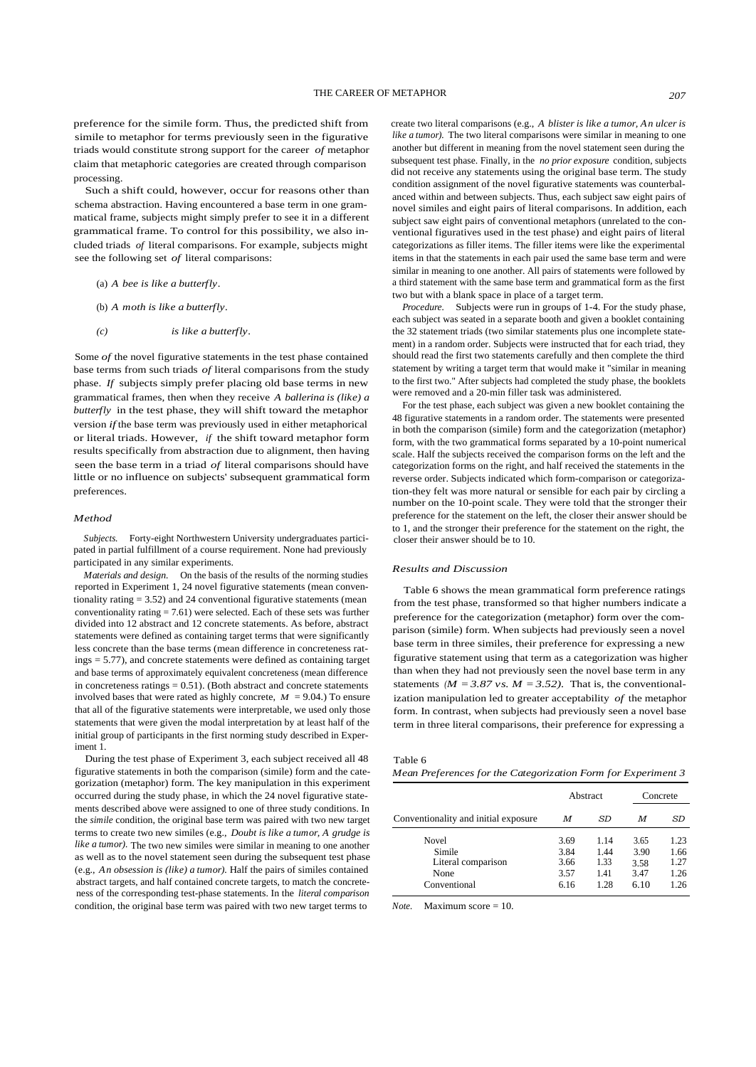preference for the simile form. Thus, the predicted shift from simile to metaphor for terms previously seen in the figurative triads would constitute strong support for the career *of* metaphor claim that metaphoric categories are created through comparison processing.

Such a shift could, however, occur for reasons other than schema abstraction. Having encountered a base term in one grammatical frame, subjects might simply prefer to see it in a different grammatical frame. To control for this possibility, we also included triads *of* literal comparisons. For example, subjects might see the following set *of* literal comparisons:

- (a) *A bee is like a butterfly.*
- (b) *A moth is like a butterfly.*
- *(c) is like a butterfly.*

Some *of* the novel figurative statements in the test phase contained base terms from such triads *of* literal comparisons from the study phase. *If* subjects simply prefer placing old base terms in new grammatical frames, then when they receive *A ballerina is (like) a butterfly* in the test phase, they will shift toward the metaphor version *if*the base term was previously used in either metaphorical or literal triads. However, *if* the shift toward metaphor form results specifically from abstraction due to alignment, then having seen the base term in a triad *of* literal comparisons should have little or no influence on subjects' subsequent grammatical form preferences.

#### *Method*

*Subjects.* Forty-eight Northwestern University undergraduates participated in partial fulfillment of a course requirement. None had previously participated in any similar experiments.

*Materials and design.* On the basis of the results of the norming studies reported in Experiment 1, 24 novel figurative statements (mean conventionality rating = 3.52) and 24 conventional figurative statements (mean conventionality rating  $= 7.61$ ) were selected. Each of these sets was further divided into 12 abstract and 12 concrete statements. As before, abstract statements were defined as containing target terms that were significantly less concrete than the base terms (mean difference in concreteness ratings = 5.77), and concrete statements were defined as containing target and base terms of approximately equivalent concreteness (mean difference in concreteness ratings  $= 0.51$ ). (Both abstract and concrete statements involved bases that were rated as highly concrete,  $M = 9.04$ .) To ensure that all of the figurative statements were interpretable, we used only those statements that were given the modal interpretation by at least half of the initial group of participants in the first norming study described in Experiment 1.

During the test phase of Experiment 3, each subject received all 48 figurative statements in both the comparison (simile) form and the categorization (metaphor) form. The key manipulation in this experiment occurred during the study phase, in which the 24 novel figurative statements described above were assigned to one of three study conditions. In the *simile* condition, the original base term was paired with two new target terms to create two new similes (e.g., *Doubt is like a tumor, A grudge is like a tumor).* The two new similes were similar in meaning to one another as well as to the novel statement seen during the subsequent test phase (e.g., *An obsession is (like) a tumor).* Half the pairs of similes contained abstract targets, and half contained concrete targets, to match the concreteness of the corresponding test-phase statements. In the *literal comparison* condition, the original base term was paired with two new target terms to

create two literal comparisons (e.g., *A blister is like a tumor, An ulcer is like a tumor*). The two literal comparisons were similar in meaning to one another but different in meaning from the novel statement seen during the subsequent test phase. Finally, in the *no prior exposure* condition, subjects did not receive any statements using the original base term. The study condition assignment of the novel figurative statements was counterbalanced within and between subjects. Thus, each subject saw eight pairs of novel similes and eight pairs of literal comparisons. In addition, each subject saw eight pairs of conventional metaphors (unrelated to the conventional figuratives used in the test phase) and eight pairs of literal categorizations as filler items. The filler items were like the experimental items in that the statements in each pair used the same base term and were similar in meaning to one another. All pairs of statements were followed by a third statement with the same base term and grammatical form as the first two but with a blank space in place of a target term.

*Procedure.* Subjects were run in groups of 1-4. For the study phase, each subject was seated in a separate booth and given a booklet containing the 32 statement triads (two similar statements plus one incomplete statement) in a random order. Subjects were instructed that for each triad, they should read the first two statements carefully and then complete the third statement by writing a target term that would make it "similar in meaning to the first two." After subjects had completed the study phase, the booklets were removed and a 20-min filler task was administered.

For the test phase, each subject was given a new booklet containing the 48 figurative statements in a random order. The statements were presented in both the comparison (simile) form and the categorization (metaphor) form, with the two grammatical forms separated by a 10-point numerical scale. Half the subjects received the comparison forms on the left and the categorization forms on the right, and half received the statements in the reverse order. Subjects indicated which form-comparison or categorization-they felt was more natural or sensible for each pair by circling a number on the 10-point scale. They were told that the stronger their preference for the statement on the left, the closer their answer should be to 1, and the stronger their preference for the statement on the right, the closer their answer should be to 10.

#### *Results and Discussion*

Table 6 shows the mean grammatical form preference ratings from the test phase, transformed so that higher numbers indicate a preference for the categorization (metaphor) form over the comparison (simile) form. When subjects had previously seen a novel base term in three similes, their preference for expressing a new figurative statement using that term as a categorization was higher than when they had not previously seen the novel base term in any statements  $(M = 3.87 \text{ v.s. } M = 3.52)$ . That is, the conventionalization manipulation led to greater acceptability *of* the metaphor form. In contrast, when subjects had previously seen a novel base term in three literal comparisons, their preference for expressing a

Table 6

| Mean Preferences for the Categorization Form for Experiment 3 |  |  |  |  |  |
|---------------------------------------------------------------|--|--|--|--|--|
|---------------------------------------------------------------|--|--|--|--|--|

|                                      |      | Abstract | Concrete |      |  |
|--------------------------------------|------|----------|----------|------|--|
| Conventionality and initial exposure | М    | SD       | М        | SD   |  |
| Novel                                | 3.69 | 1.14     | 3.65     | 1.23 |  |
| Simile                               | 3.84 | 1.44     | 3.90     | 1.66 |  |
| Literal comparison                   | 3.66 | 1.33     | 3.58     | 1.27 |  |
| None                                 | 3.57 | 1.41     | 3.47     | 1.26 |  |
| Conventional                         | 6.16 | 1.28     | 6.10     | 1.26 |  |

*Note.* Maximum score = 10.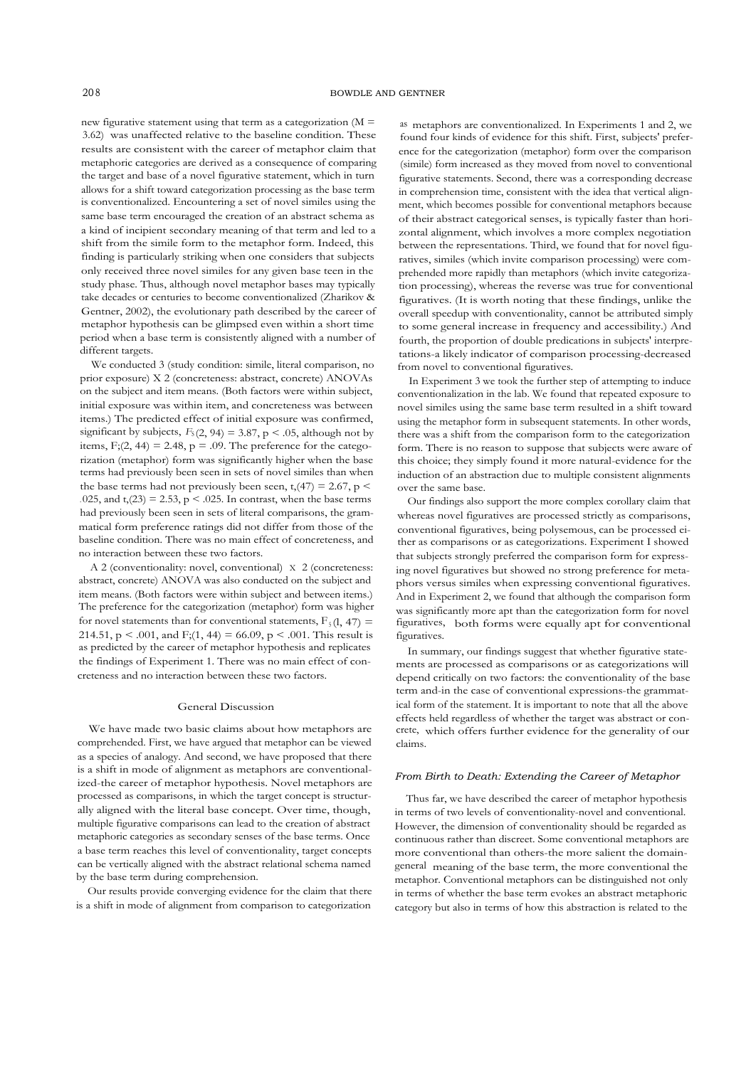new figurative statement using that term as a categorization  $(M =$ 3.62) was unaffected relative to the baseline condition. These results are consistent with the career of metaphor claim that metaphoric categories are derived as a consequence of comparing the target and base of a novel figurative statement, which in turn allows for a shift toward categorization processing as the base term is conventionalized. Encountering a set of novel similes using the same base term encouraged the creation of an abstract schema as a kind of incipient secondary meaning of that term and led to a shift from the simile form to the metaphor form. Indeed, this finding is particularly striking when one considers that subjects only received three novel similes for any given base teen in the study phase. Thus, although novel metaphor bases may typically take decades or centuries to become conventionalized (Zharikov & Gentner, 2002), the evolutionary path described by the career of metaphor hypothesis can be glimpsed even within a short time period when a base term is consistently aligned with a number of different targets.

We conducted 3 (study condition: simile, literal comparison, no prior exposure) X 2 (concreteness: abstract, concrete) ANOVAs on the subject and item means. (Both factors were within subject, initial exposure was within item, and concreteness was between items.) The predicted effect of initial exposure was confirmed, significant by subjects,  $F_S(2, 94) = 3.87$ ,  $p < .05$ , although not by items, F; $(2, 44) = 2.48$ ,  $p = .09$ . The preference for the categorization (metaphor) form was significantly higher when the base terms had previously been seen in sets of novel similes than when the base terms had not previously been seen,  $t(47) = 2.67$ , p < .025, and  $t$ ,(23) = 2.53, p < .025. In contrast, when the base terms had previously been seen in sets of literal comparisons, the grammatical form preference ratings did not differ from those of the baseline condition. There was no main effect of concreteness, and no interaction between these two factors.

A 2 (conventionality: novel, conventional) X 2 (concreteness: abstract, concrete) ANOVA was also conducted on the subject and item means. (Both factors were within subject and between items.) The preference for the categorization (metaphor) form was higher for novel statements than for conventional statements,  $F_5(1, 47) =$ 214.51,  $p < .001$ , and F;(1, 44) = 66.09,  $p < .001$ . This result is as predicted by the career of metaphor hypothesis and replicates the findings of Experiment 1. There was no main effect of concreteness and no interaction between these two factors.

#### General Discussion

We have made two basic claims about how metaphors are comprehended. First, we have argued that metaphor can be viewed as a species of analogy. And second, we have proposed that there is a shift in mode of alignment as metaphors are conventionalized-the career of metaphor hypothesis. Novel metaphors are processed as comparisons, in which the target concept is structurally aligned with the literal base concept. Over time, though, multiple figurative comparisons can lead to the creation of abstract metaphoric categories as secondary senses of the base terms. Once a base term reaches this level of conventionality, target concepts can be vertically aligned with the abstract relational schema named by the base term during comprehension.

Our results provide converging evidence for the claim that there is a shift in mode of alignment from comparison to categorization

as metaphors are conventionalized. In Experiments 1 and 2, we found four kinds of evidence for this shift. First, subjects' preference for the categorization (metaphor) form over the comparison (simile) form increased as they moved from novel to conventional figurative statements. Second, there was a corresponding decrease in comprehension time, consistent with the idea that vertical alignment, which becomes possible for conventional metaphors because of their abstract categorical senses, is typically faster than horizontal alignment, which involves a more complex negotiation between the representations. Third, we found that for novel figuratives, similes (which invite comparison processing) were comprehended more rapidly than metaphors (which invite categorization processing), whereas the reverse was true for conventional figuratives. (It is worth noting that these findings, unlike the overall speedup with conventionality, cannot be attributed simply to some general increase in frequency and accessibility.) And fourth, the proportion of double predications in subjects' interpretations-a likely indicator of comparison processing-decreased from novel to conventional figuratives.

In Experiment 3 we took the further step of attempting to induce conventionalization in the lab. We found that repeated exposure to novel similes using the same base term resulted in a shift toward using the metaphor form in subsequent statements. In other words, there was a shift from the comparison form to the categorization form. There is no reason to suppose that subjects were aware of this choice; they simply found it more natural-evidence for the induction of an abstraction due to multiple consistent alignments over the same base.

Our findings also support the more complex corollary claim that whereas novel figuratives are processed strictly as comparisons, conventional figuratives, being polysemous, can be processed either as comparisons or as categorizations. Experiment I showed that subjects strongly preferred the comparison form for expressing novel figuratives but showed no strong preference for metaphors versus similes when expressing conventional figuratives. And in Experiment 2, we found that although the comparison form was significantly more apt than the categorization form for novel figuratives, both forms were equally apt for conventional figuratives.

In summary, our findings suggest that whether figurative statements are processed as comparisons or as categorizations will depend critically on two factors: the conventionality of the base term and-in the case of conventional expressions-the grammatical form of the statement. It is important to note that all the above effects held regardless of whether the target was abstract or concrete, which offers further evidence for the generality of our claims.

#### *From Birth to Death: Extending the Career of Metaphor*

Thus far, we have described the career of metaphor hypothesis in terms of two levels of conventionality-novel and conventional. However, the dimension of conventionality should be regarded as continuous rather than discreet. Some conventional metaphors are more conventional than others-the more salient the domaingeneral meaning of the base term, the more conventional the metaphor. Conventional metaphors can be distinguished not only in terms of whether the base term evokes an abstract metaphoric category but also in terms of how this abstraction is related to the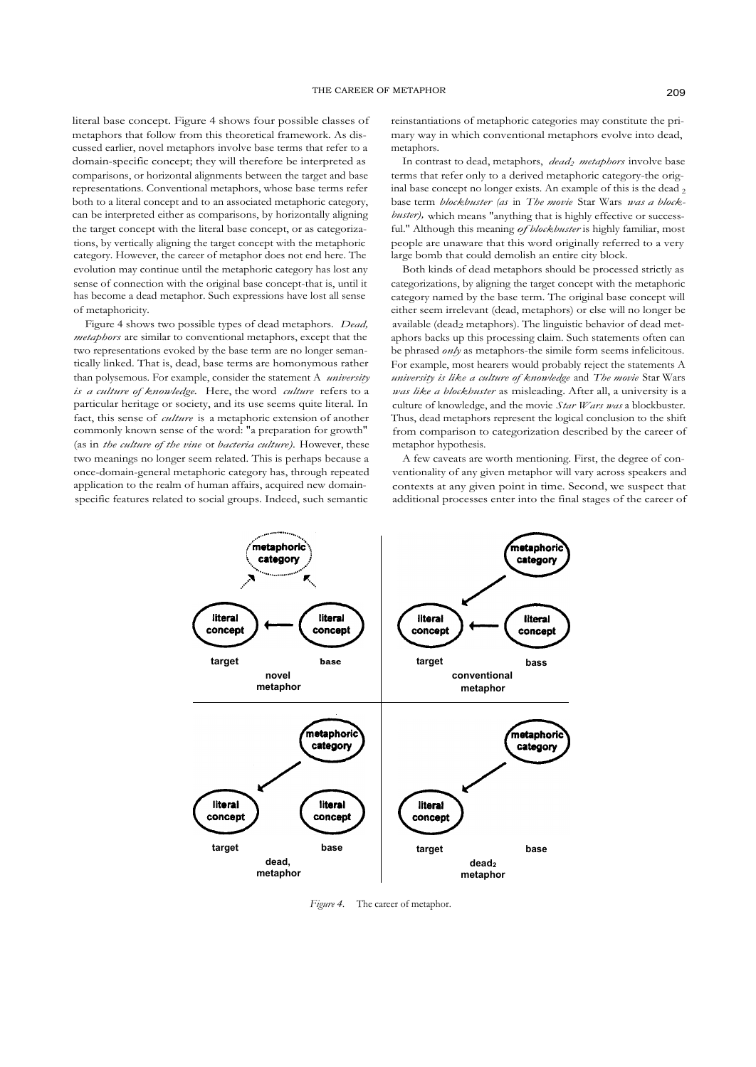literal base concept. Figure 4 shows four possible classes of metaphors that follow from this theoretical framework. As discussed earlier, novel metaphors involve base terms that refer to a domain-specific concept; they will therefore be interpreted as comparisons, or horizontal alignments between the target and base representations. Conventional metaphors, whose base terms refer both to a literal concept and to an associated metaphoric category, can be interpreted either as comparisons, by horizontally aligning the target concept with the literal base concept, or as categorizations, by vertically aligning the target concept with the metaphoric category. However, the career of metaphor does not end here. The evolution may continue until the metaphoric category has lost any sense of connection with the original base concept-that is, until it has become a dead metaphor. Such expressions have lost all sense of metaphoricity.

Figure 4 shows two possible types of dead metaphors. *Dead, metaphors* are similar to conventional metaphors, except that the two representations evoked by the base term are no longer semantically linked. That is, dead, base terms are homonymous rather than polysemous. For example, consider the statement A *university is a culture of knowledge.* Here, the word *culture* refers to a particular heritage or society, and its use seems quite literal. In fact, this sense of *culture* is a metaphoric extension of another commonly known sense of the word: "a preparation for growth" (as in *the culture of the vine* or *bacteria culture).* However, these two meanings no longer seem related. This is perhaps because a once-domain-general metaphoric category has, through repeated application to the realm of human affairs, acquired new domainspecific features related to social groups. Indeed, such semantic

reinstantiations of metaphoric categories may constitute the primary way in which conventional metaphors evolve into dead, metaphors.

In contrast to dead, metaphors, *dead<sup>2</sup> metaphors* involve base terms that refer only to a derived metaphoric category-the original base concept no longer exists. An example of this is the dead  $\frac{1}{2}$ base term *blockbuster (as* in *The movie* Star Wars *was a blockbuster),* which means "anything that is highly effective or successful." Although this meaning *of blockbuster* is highly familiar, most people are unaware that this word originally referred to a very large bomb that could demolish an entire city block.

Both kinds of dead metaphors should be processed strictly as categorizations, by aligning the target concept with the metaphoric category named by the base term. The original base concept will either seem irrelevant (dead, metaphors) or else will no longer be available (dead<sub>2</sub> metaphors). The linguistic behavior of dead metaphors backs up this processing claim. Such statements often can be phrased *only* as metaphors-the simile form seems infelicitous. For example, most hearers would probably reject the statements A *university is like a culture of knowledge* and *The movie* Star Wars *was like a blockbuster* as misleading. After all, a university is a culture of knowledge, and the movie *Star Wars was* a blockbuster. Thus, dead metaphors represent the logical conclusion to the shift from comparison to categorization described by the career of metaphor hypothesis.

A few caveats are worth mentioning. First, the degree of conventionality of any given metaphor will vary across speakers and contexts at any given point in time. Second, we suspect that additional processes enter into the final stages of the career of



*Figure 4.* The career of metaphor.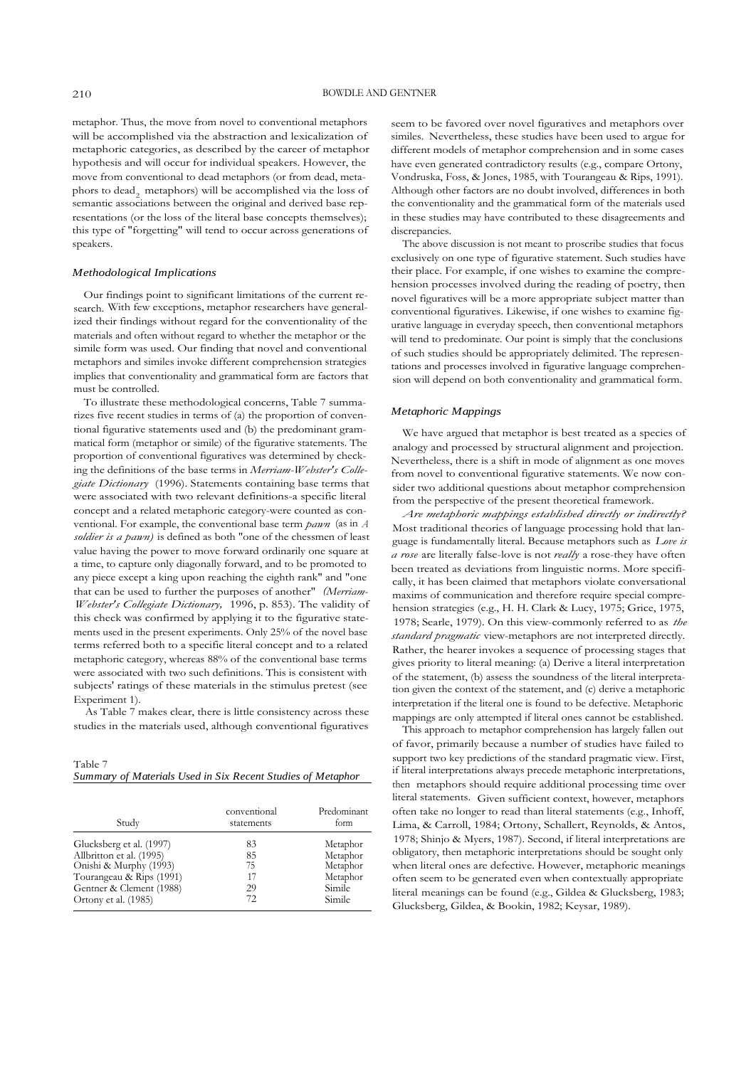metaphor. Thus, the move from novel to conventional metaphors will be accomplished via the abstraction and lexicalization of metaphoric categories, as described by the career of metaphor hypothesis and will occur for individual speakers. However, the move from conventional to dead metaphors (or from dead, metaphors to dead<sub>2</sub> metaphors) will be accomplished via the loss of semantic associations between the original and derived base representations (or the loss of the literal base concepts themselves); this type of "forgetting" will tend to occur across generations of speakers.

#### *Methodological Implications*

Our findings point to significant limitations of the current research. With few exceptions, metaphor researchers have generalized their findings without regard for the conventionality of the materials and often without regard to whether the metaphor or the simile form was used. Our finding that novel and conventional metaphors and similes invoke different comprehension strategies implies that conventionality and grammatical form are factors that must be controlled.

To illustrate these methodological concerns, Table 7 summarizes five recent studies in terms of (a) the proportion of conventional figurative statements used and (b) the predominant grammatical form (metaphor or simile) of the figurative statements. The proportion of conventional figuratives was determined by checking the definitions of the base terms in *Merriam-Webster's Collegiate Dictionary* (1996). Statements containing base terms that were associated with two relevant definitions-a specific literal concept and a related metaphoric category-were counted as conventional. For example, the conventional base term *pawn* (as in *<sup>A</sup> soldier is a pawn)* is defined as both "one of the chessmen of least value having the power to move forward ordinarily one square at a time, to capture only diagonally forward, and to be promoted to any piece except a king upon reaching the eighth rank" and "one that can be used to further the purposes of another" *(Merriam-Webster's Collegiate Dictionary,* 1996, p. 853). The validity of this check was confirmed by applying it to the figurative statements used in the present experiments. Only 25% of the novel base terms referred both to a specific literal concept and to a related metaphoric category, whereas 88% of the conventional base terms were associated with two such definitions. This is consistent with subjects' ratings of these materials in the stimulus pretest (see Experiment 1).

As Table 7 makes clear, there is little consistency across these studies in the materials used, although conventional figuratives

Table 7 *Summary of Materials Used in Six Recent Studies of Metaphor*

| Glucksberg et al. (1997)<br>Metaphor<br>83<br>Allbritton et al. (1995)<br>85<br>Metaphor<br>Onishi & Murphy (1993)<br>75<br>Metaphor<br>Tourangeau & Rips (1991)<br>17<br>Metaphor<br>Gentner & Clement (1988)<br>Simile<br>29 | Predominant |
|--------------------------------------------------------------------------------------------------------------------------------------------------------------------------------------------------------------------------------|-------------|
|                                                                                                                                                                                                                                |             |
|                                                                                                                                                                                                                                |             |
|                                                                                                                                                                                                                                |             |
|                                                                                                                                                                                                                                |             |
|                                                                                                                                                                                                                                |             |
| 72<br>Ortony et al. (1985)<br>Simile                                                                                                                                                                                           |             |

seem to be favored over novel figuratives and metaphors over similes. Nevertheless, these studies have been used to argue for different models of metaphor comprehension and in some cases have even generated contradictory results (e.g., compare Ortony, Vondruska, Foss, & Jones, 1985, with Tourangeau & Rips, 1991). Although other factors are no doubt involved, differences in both the conventionality and the grammatical form of the materials used in these studies may have contributed to these disagreements and discrepancies.

The above discussion is not meant to proscribe studies that focus exclusively on one type of figurative statement. Such studies have their place. For example, if one wishes to examine the comprehension processes involved during the reading of poetry, then novel figuratives will be a more appropriate subject matter than conventional figuratives. Likewise, if one wishes to examine figurative language in everyday speech, then conventional metaphors will tend to predominate. Our point is simply that the conclusions of such studies should be appropriately delimited. The representations and processes involved in figurative language comprehension will depend on both conventionality and grammatical form.

## *Metaphoric Mappings*

We have argued that metaphor is best treated as a species of analogy and processed by structural alignment and projection. Nevertheless, there is a shift in mode of alignment as one moves from novel to conventional figurative statements. We now consider two additional questions about metaphor comprehension from the perspective of the present theoretical framework.

*Are metaphoric mappings established directly or indirectly?* Most traditional theories of language processing hold that language is fundamentally literal. Because metaphors such as *Love is a rose* are literally false-love is not *really* a rose-they have often been treated as deviations from linguistic norms. More specifically, it has been claimed that metaphors violate conversational maxims of communication and therefore require special comprehension strategies (e.g., H. H. Clark & Lucy, 1975; Grice, 1975, 1978; Searle, 1979). On this view-commonly referred to as *the standard pragmatic* view-metaphors are not interpreted directly. Rather, the hearer invokes a sequence of processing stages that gives priority to literal meaning: (a) Derive a literal interpretation of the statement, (b) assess the soundness of the literal interpretation given the context of the statement, and (c) derive a metaphoric interpretation if the literal one is found to be defective. Metaphoric mappings are only attempted if literal ones cannot be established.

This approach to metaphor comprehension has largely fallen out of favor, primarily because a number of studies have failed to support two key predictions of the standard pragmatic view. First, if literal interpretations always precede metaphoric interpretations, then metaphors should require additional processing time over literal statements. Given sufficient context, however, metaphors often take no longer to read than literal statements (e.g., Inhoff, Lima, & Carroll, 1984; Ortony, Schallert, Reynolds, & Antos, 1978; Shinjo & Myers, 1987). Second, if literal interpretations are obligatory, then metaphoric interpretations should be sought only when literal ones are defective. However, metaphoric meanings often seem to be generated even when contextually appropriate literal meanings can be found (e.g., Gildea & Glucksberg, 1983; Glucksberg, Gildea, & Bookin, 1982; Keysar, 1989).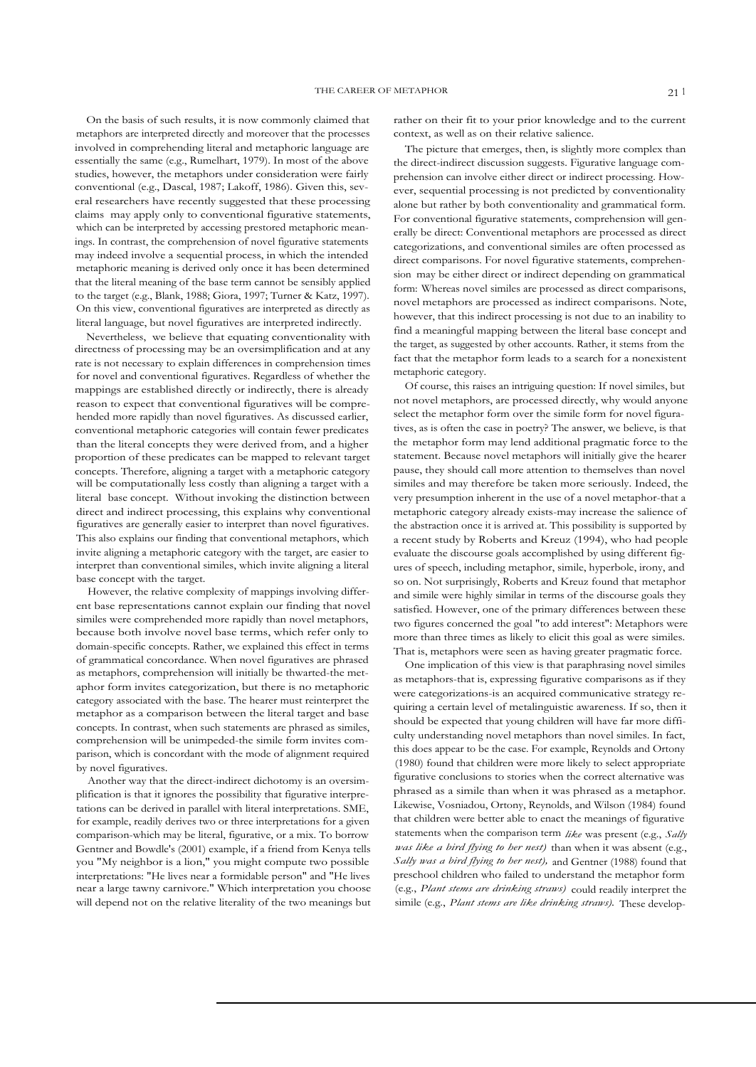On the basis of such results, it is now commonly claimed that metaphors are interpreted directly and moreover that the processes involved in comprehending literal and metaphoric language are essentially the same (e.g., Rumelhart, 1979). In most of the above studies, however, the metaphors under consideration were fairly conventional (e.g., Dascal, 1987; Lakoff, 1986). Given this, several researchers have recently suggested that these processing claims may apply only to conventional figurative statements, which can be interpreted by accessing prestored metaphoric meanings. In contrast, the comprehension of novel figurative statements may indeed involve a sequential process, in which the intended metaphoric meaning is derived only once it has been determined that the literal meaning of the base term cannot be sensibly applied to the target (e.g., Blank, 1988; Giora, 1997; Turner & Katz, 1997). On this view, conventional figuratives are interpreted as directly as literal language, but novel figuratives are interpreted indirectly.

Nevertheless, we believe that equating conventionality with directness of processing may be an oversimplification and at any rate is not necessary to explain differences in comprehension times for novel and conventional figuratives. Regardless of whether the mappings are established directly or indirectly, there is already reason to expect that conventional figuratives will be comprehended more rapidly than novel figuratives. As discussed earlier, conventional metaphoric categories will contain fewer predicates than the literal concepts they were derived from, and a higher proportion of these predicates can be mapped to relevant target concepts. Therefore, aligning a target with a metaphoric category will be computationally less costly than aligning a target with a literal base concept. Without invoking the distinction between direct and indirect processing, this explains why conventional figuratives are generally easier to interpret than novel figuratives. This also explains our finding that conventional metaphors, which invite aligning a metaphoric category with the target, are easier to interpret than conventional similes, which invite aligning a literal base concept with the target.

However, the relative complexity of mappings involving different base representations cannot explain our finding that novel similes were comprehended more rapidly than novel metaphors, because both involve novel base terms, which refer only to domain-specific concepts. Rather, we explained this effect in terms of grammatical concordance. When novel figuratives are phrased as metaphors, comprehension will initially be thwarted-the metaphor form invites categorization, but there is no metaphoric category associated with the base. The hearer must reinterpret the metaphor as a comparison between the literal target and base concepts. In contrast, when such statements are phrased as similes, comprehension will be unimpeded-the simile form invites comparison, which is concordant with the mode of alignment required by novel figuratives.

Another way that the direct-indirect dichotomy is an oversimplification is that it ignores the possibility that figurative interpretations can be derived in parallel with literal interpretations. SME, for example, readily derives two or three interpretations for a given comparison-which may be literal, figurative, or a mix. To borrow Gentner and Bowdle's (2001) example, if a friend from Kenya tells you "My neighbor is a lion," you might compute two possible interpretations: "He lives near a formidable person" and "He lives near a large tawny carnivore." Which interpretation you choose will depend not on the relative literality of the two meanings but rather on their fit to your prior knowledge and to the current context, as well as on their relative salience.

The picture that emerges, then, is slightly more complex than the direct-indirect discussion suggests. Figurative language comprehension can involve either direct or indirect processing. However, sequential processing is not predicted by conventionality alone but rather by both conventionality and grammatical form. For conventional figurative statements, comprehension will generally be direct: Conventional metaphors are processed as direct categorizations, and conventional similes are often processed as direct comparisons. For novel figurative statements, comprehension may be either direct or indirect depending on grammatical form: Whereas novel similes are processed as direct comparisons, novel metaphors are processed as indirect comparisons. Note, however, that this indirect processing is not due to an inability to find a meaningful mapping between the literal base concept and the target, as suggested by other accounts. Rather, it stems from the fact that the metaphor form leads to a search for a nonexistent metaphoric category.

Of course, this raises an intriguing question: If novel similes, but not novel metaphors, are processed directly, why would anyone select the metaphor form over the simile form for novel figuratives, as is often the case in poetry? The answer, we believe, is that the metaphor form may lend additional pragmatic force to the statement. Because novel metaphors will initially give the hearer pause, they should call more attention to themselves than novel similes and may therefore be taken more seriously. Indeed, the very presumption inherent in the use of a novel metaphor-that a metaphoric category already exists-may increase the salience of the abstraction once it is arrived at. This possibility is supported by a recent study by Roberts and Kreuz (1994), who had people evaluate the discourse goals accomplished by using different figures of speech, including metaphor, simile, hyperbole, irony, and so on. Not surprisingly, Roberts and Kreuz found that metaphor and simile were highly similar in terms of the discourse goals they satisfied. However, one of the primary differences between these two figures concerned the goal "to add interest": Metaphors were more than three times as likely to elicit this goal as were similes. That is, metaphors were seen as having greater pragmatic force.

One implication of this view is that paraphrasing novel similes as metaphors-that is, expressing figurative comparisons as if they were categorizations-is an acquired communicative strategy requiring a certain level of metalinguistic awareness. If so, then it should be expected that young children will have far more difficulty understanding novel metaphors than novel similes. In fact, this does appear to be the case. For example, Reynolds and Ortony (1980) found that children were more likely to select appropriate figurative conclusions to stories when the correct alternative was phrased as a simile than when it was phrased as a metaphor. Likewise, Vosniadou, Ortony, Reynolds, and Wilson (1984) found that children were better able to enact the meanings of figurative statements when the comparison term *like* was present (e.g., *Sally was like a bird flying to her nest)* than when it was absent (e.g., *Sally was a bird flying to her nest),* and Gentner (1988) found that preschool children who failed to understand the metaphor form (e.g., *Plant stems are drinking straws)* could readily interpret the simile (e.g., *Plant stems are like drinking straws).* These develop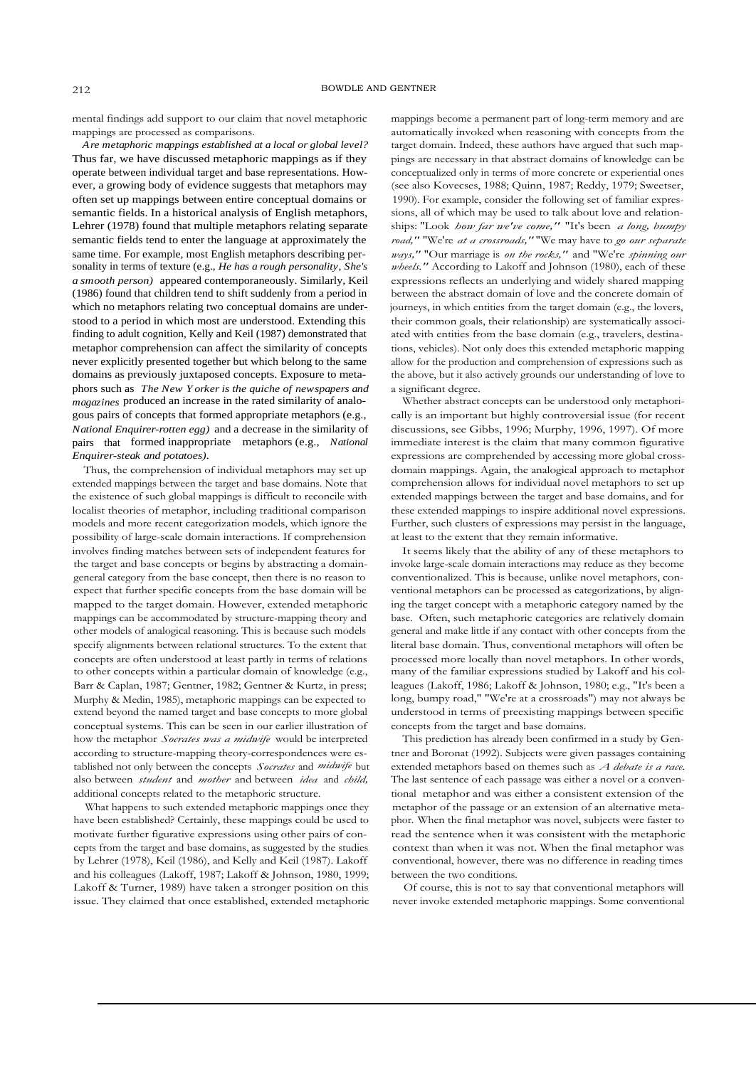mental findings add support to our claim that novel metaphoric mappings are processed as comparisons.

*Are metaphoric mappings established at a local or global level?* Thus far, we have discussed metaphoric mappings as if they operate between individual target and base representations. However, a growing body of evidence suggests that metaphors may often set up mappings between entire conceptual domains or semantic fields. In a historical analysis of English metaphors, Lehrer (1978) found that multiple metaphors relating separate semantic fields tend to enter the language at approximately the same time. For example, most English metaphors describing personality in terms of texture (e.g., *He has a rough personality, She's a smooth person)* appeared contemporaneously. Similarly, Keil (1986) found that children tend to shift suddenly from a period in which no metaphors relating two conceptual domains are understood to a period in which most are understood. Extending this finding to adult cognition, Kelly and Keil (1987) demonstrated that metaphor comprehension can affect the similarity of concepts never explicitly presented together but which belong to the same domains as previously juxtaposed concepts. Exposure to metaphors such as *The New Yorker is the quiche of newspapers and magazines* produced an increase in the rated similarity of analogous pairs of concepts that formed appropriate metaphors (e.g., *National Enquirer-rotten egg)* and a decrease in the similarity of pairs that formed inappropriate metaphors (e.g., *National Enquirer-steak and potatoes).*

Thus, the comprehension of individual metaphors may set up extended mappings between the target and base domains. Note that the existence of such global mappings is difficult to reconcile with localist theories of metaphor, including traditional comparison models and more recent categorization models, which ignore the possibility of large-scale domain interactions. If comprehension involves finding matches between sets of independent features for the target and base concepts or begins by abstracting a domaingeneral category from the base concept, then there is no reason to expect that further specific concepts from the base domain will be mapped to the target domain. However, extended metaphoric mappings can be accommodated by structure-mapping theory and other models of analogical reasoning. This is because such models specify alignments between relational structures. To the extent that concepts are often understood at least partly in terms of relations to other concepts within a particular domain of knowledge (e.g., Barr & Caplan, 1987; Gentner, 1982; Gentner & Kurtz, in press; Murphy & Medin, 1985), metaphoric mappings can be expected to extend beyond the named target and base concepts to more global conceptual systems. This can be seen in our earlier illustration of how the metaphor *Socrates was a midwife* would be interpreted according to structure-mapping theory-correspondences were established not only between the concepts *Socrates* and *midwife* but also between *student* and *mother* and between *idea* and *child,* additional concepts related to the metaphoric structure.

What happens to such extended metaphoric mappings once they have been established? Certainly, these mappings could be used to motivate further figurative expressions using other pairs of concepts from the target and base domains, as suggested by the studies by Lehrer (1978), Keil (1986), and Kelly and Keil (1987). Lakoff and his colleagues (Lakoff, 1987; Lakoff & Johnson, 1980, 1999; Lakoff & Turner, 1989) have taken a stronger position on this issue. They claimed that once established, extended metaphoric mappings become a permanent part of long-term memory and are automatically invoked when reasoning with concepts from the target domain. Indeed, these authors have argued that such mappings are necessary in that abstract domains of knowledge can be conceptualized only in terms of more concrete or experiential ones (see also Kovecses, 1988; Quinn, 1987; Reddy, 1979; Sweetser, 1990). For example, consider the following set of familiar expressions, all of which may be used to talk about love and relationships: "Look *how far we've come,"* "It's been *a long, bumpy road,"* "We're *at a crossroads,"* "We may have to *go our separate ways,"* "Our marriage is *on the rocks,"* and "We're *spinning our wheels."* According to Lakoff and Johnson (1980), each of these expressions reflects an underlying and widely shared mapping between the abstract domain of love and the concrete domain of journeys, in which entities from the target domain (e.g., the lovers, their common goals, their relationship) are systematically associated with entities from the base domain (e.g., travelers, destinations, vehicles). Not only does this extended metaphoric mapping allow for the production and comprehension of expressions such as the above, but it also actively grounds our understanding of love to a significant degree.

Whether abstract concepts can be understood only metaphorically is an important but highly controversial issue (for recent discussions, see Gibbs, 1996; Murphy, 1996, 1997). Of more immediate interest is the claim that many common figurative expressions are comprehended by accessing more global crossdomain mappings. Again, the analogical approach to metaphor comprehension allows for individual novel metaphors to set up extended mappings between the target and base domains, and for these extended mappings to inspire additional novel expressions. Further, such clusters of expressions may persist in the language, at least to the extent that they remain informative.

It seems likely that the ability of any of these metaphors to invoke large-scale domain interactions may reduce as they become conventionalized. This is because, unlike novel metaphors, conventional metaphors can be processed as categorizations, by aligning the target concept with a metaphoric category named by the base. Often, such metaphoric categories are relatively domain general and make little if any contact with other concepts from the literal base domain. Thus, conventional metaphors will often be processed more locally than novel metaphors. In other words, many of the familiar expressions studied by Lakoff and his colleagues (Lakoff, 1986; Lakoff & Johnson, 1980; e.g., "It's been a long, bumpy road," "We're at a crossroads") may not always be understood in terms of preexisting mappings between specific concepts from the target and base domains.

This prediction has already been confirmed in a study by Gentner and Boronat (1992). Subjects were given passages containing extended metaphors based on themes such as *A debate is a race.* The last sentence of each passage was either a novel or a conventional metaphor and was either a consistent extension of the metaphor of the passage or an extension of an alternative metaphor. When the final metaphor was novel, subjects were faster to read the sentence when it was consistent with the metaphoric context than when it was not. When the final metaphor was conventional, however, there was no difference in reading times between the two conditions.

Of course, this is not to say that conventional metaphors will never invoke extended metaphoric mappings. Some conventional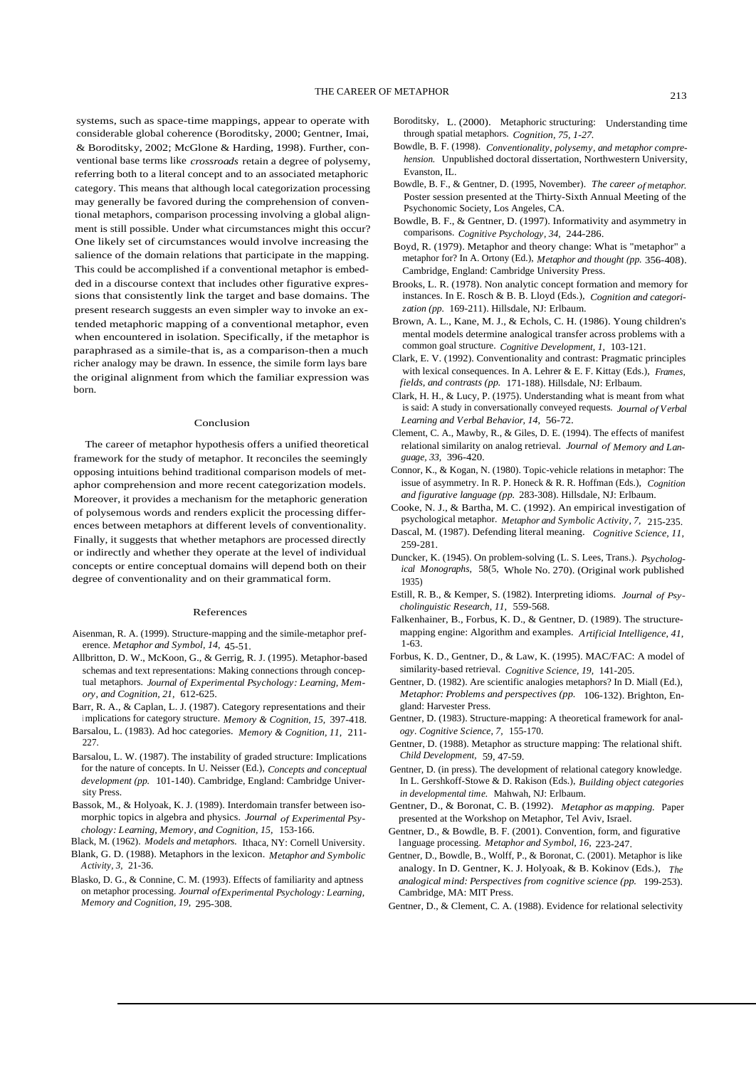systems, such as space-time mappings, appear to operate with considerable global coherence (Boroditsky, 2000; Gentner, Imai, & Boroditsky, 2002; McGlone & Harding, 1998). Further, conventional base terms like *crossroads* retain a degree of polysemy, referring both to a literal concept and to an associated metaphoric category. This means that although local categorization processing may generally be favored during the comprehension of conventional metaphors, comparison processing involving a global alignment is still possible. Under what circumstances might this occur? One likely set of circumstances would involve increasing the salience of the domain relations that participate in the mapping. This could be accomplished if a conventional metaphor is embedded in a discourse context that includes other figurative expressions that consistently link the target and base domains. The present research suggests an even simpler way to invoke an extended metaphoric mapping of a conventional metaphor, even when encountered in isolation. Specifically, if the metaphor is paraphrased as a simile-that is, as a comparison-then a much richer analogy may be drawn. In essence, the simile form lays bare the original alignment from which the familiar expression was born.

#### Conclusion

The career of metaphor hypothesis offers a unified theoretical framework for the study of metaphor. It reconciles the seemingly opposing intuitions behind traditional comparison models of metaphor comprehension and more recent categorization models. Moreover, it provides a mechanism for the metaphoric generation of polysemous words and renders explicit the processing differences between metaphors at different levels of conventionality. Finally, it suggests that whether metaphors are processed directly or indirectly and whether they operate at the level of individual concepts or entire conceptual domains will depend both on their degree of conventionality and on their grammatical form.

#### References

- Aisenman, R. A. (1999). Structure-mapping and the simile-metaphor preference. *Metaphor and Symbol, 14,* 45-51.
- Allbritton, D. W., McKoon, G., & Gerrig, R. J. (1995). Metaphor-based schemas and text representations: Making connections through conceptual metaphors. *Journal of Experimental Psychology: Learning, Memory, and Cognition, 21,* 612-625.
- Barr, R. A., & Caplan, L. J. (1987). Category representations and their <sup>i</sup> mplications for category structure. *Memory & Cognition, 15,* 397-418.
- Barsalou, L. (1983). Ad hoc categories. *Memory & Cognition, 11,* 211- 227.
- Barsalou, L. W. (1987). The instability of graded structure: Implications for the nature of concepts. In U. Neisser (Ed.), *Concepts and conceptual development (pp.* 101-140). Cambridge, England: Cambridge University Press.
- Bassok, M., & Holyoak, K. J. (1989). Interdomain transfer between isomorphic topics in algebra and physics. *Journal of Experimental Psychology: Learning, Memory, and Cognition, 15,* 153-166.
- Black, M. (1962). *Models and metaphors.* Ithaca, NY: Cornell University.
- Blank, G. D. (1988). Metaphors in the lexicon. *Metaphor and Symbolic Activity, 3,* 21-36.
- Blasko, D. G., & Connine, C. M. (1993). Effects of familiarity and aptness on metaphor processing. *Journal ofExperimental Psychology: Learning, Memory and Cognition, 19,* 295-308.
- Boroditsky, L. (2000). Metaphoric structuring: Understanding time through spatial metaphors. *Cognition, 75, 1-27.*
- Bowdle, B. F. (1998). *Conventionality, polysemy, and metaphor comprehension.* Unpublished doctoral dissertation, Northwestern University, Evanston, IL.
- Bowdle, B. F., & Gentner, D. (1995, November). *The career ofmetaphor.* Poster session presented at the Thirty-Sixth Annual Meeting of the Psychonomic Society, Los Angeles, CA.
- Bowdle, B. F., & Gentner, D. (1997). Informativity and asymmetry in comparisons. *Cognitive Psychology, 34,* 244-286.
- Boyd, R. (1979). Metaphor and theory change: What is "metaphor" a metaphor for? In A. Ortony (Ed.), *Metaphor and thought (pp.* 356-408). Cambridge, England: Cambridge University Press.
- Brooks, L. R. (1978). Non analytic concept formation and memory for instances. In E. Rosch & B. B. Lloyd (Eds.), *Cognition and categorization (pp.* 169-211). Hillsdale, NJ: Erlbaum.
- Brown, A. L., Kane, M. J., & Echols, C. H. (1986). Young children's mental models determine analogical transfer across problems with a common goal structure. *Cognitive Development, 1,* 103-121.
- Clark, E. V. (1992). Conventionality and contrast: Pragmatic principles with lexical consequences. In A. Lehrer & E. F. Kittay (Eds.), *Frames, fields, and contrasts (pp.* 171-188). Hillsdale, NJ: Erlbaum.
- Clark, H. H., & Lucy, P. (1975). Understanding what is meant from what is said: A study in conversationally conveyed requests. *Journal ofVerbal Learning and Verbal Behavior, 14,* 56-72.
- Clement, C. A., Mawby, R., & Giles, D. E. (1994). The effects of manifest relational similarity on analog retrieval. *Journal of Memory and Language, 33,* 396-420.
- Connor, K., & Kogan, N. (1980). Topic-vehicle relations in metaphor: The issue of asymmetry. In R. P. Honeck & R. R. Hoffman (Eds.), *Cognition and figurative language (pp.* 283-308). Hillsdale, NJ: Erlbaum.
- Cooke, N. J., & Bartha, M. C. (1992). An empirical investigation of psychological metaphor. *Metaphor and Symbolic Activity, 7,* 215-235.
- Dascal, M. (1987). Defending literal meaning. *Cognitive Science, 11,* 259-281.
- Duncker, K. (1945). On problem-solving (L. S. Lees, Trans.). *Psychological Monographs,* 58(5, Whole No. 270). (Original work published 1935)
- Estill, R. B., & Kemper, S. (1982). Interpreting idioms. *Journal of Psycholinguistic Research, 11,* 559-568.
- Falkenhainer, B., Forbus, K. D., & Gentner, D. (1989). The structuremapping engine: Algorithm and examples. *Artificial Intelligence, 41,* 1-63.
- Forbus, K. D., Gentner, D., & Law, K. (1995). MAC/FAC: A model of similarity-based retrieval. *Cognitive Science, 19,* 141-205.
- Gentner, D. (1982). Are scientific analogies metaphors? In D. Miall (Ed.), *Metaphor: Problems and perspectives (pp.* 106-132). Brighton, England: Harvester Press.
- Gentner, D. (1983). Structure-mapping: A theoretical framework for anal*ogy. Cognitive Science, 7,* 155-170.
- Gentner, D. (1988). Metaphor as structure mapping: The relational shift. *Child Development,* 59, 47-59.
- Gentner, D. (in press). The development of relational category knowledge. In L. Gershkoff-Stowe & D. Rakison (Eds.), *Building object categories in developmental time.* Mahwah, NJ: Erlbaum.
- Gentner, D., & Boronat, C. B. (1992). *Metaphor as mapping.* Paper presented at the Workshop on Metaphor, Tel Aviv, Israel.
- Gentner, D., & Bowdle, B. F. (2001). Convention, form, and figurative l anguage processing. *Metaphor and Symbol, 16,* 223-247.
- Gentner, D., Bowdle, B., Wolff, P., & Boronat, C. (2001). Metaphor is like analogy. In D. Gentner, K. J. Holyoak, & B. Kokinov (Eds.), *The analogical mind: Perspectives from cognitive science (pp.* 199-253). Cambridge, MA: MIT Press.
- Gentner, D., & Clement, C. A. (1988). Evidence for relational selectivity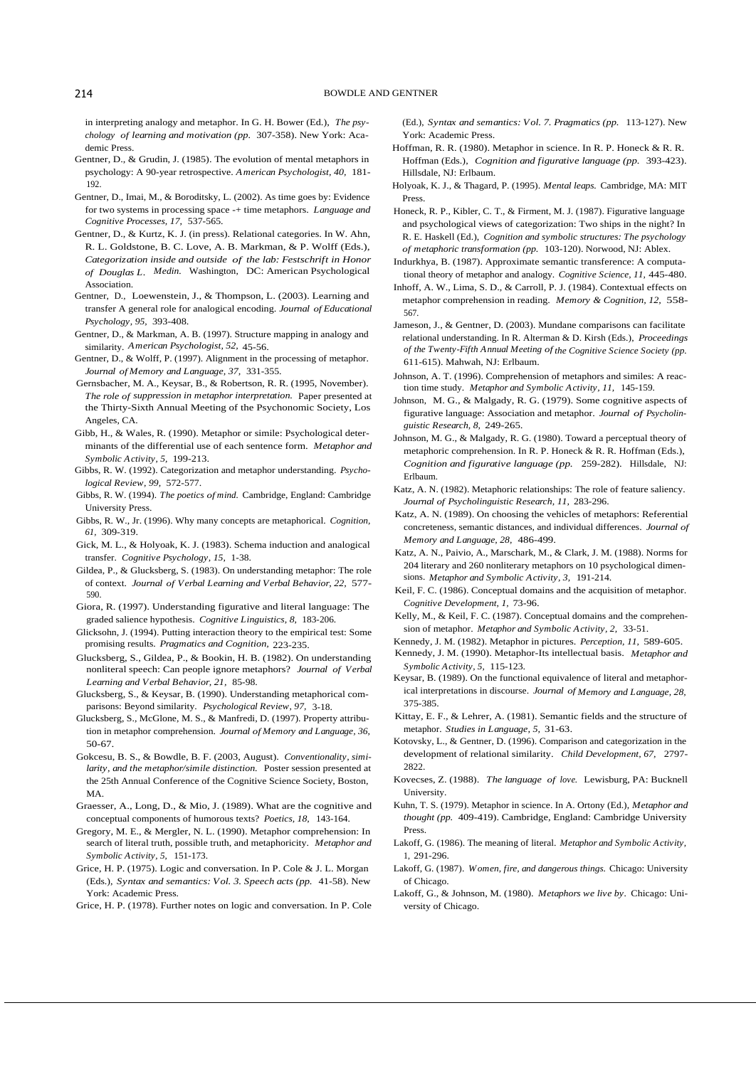in interpreting analogy and metaphor. In G. H. Bower (Ed.), *The psychology of learning and motivation (pp.* 307-358). New York: Academic Press.

- Gentner, D., & Grudin, J. (1985). The evolution of mental metaphors in psychology: A 90-year retrospective. *American Psychologist, 40,* 181- 192.
- Gentner, D., Imai, M., & Boroditsky, L. (2002). As time goes by: Evidence for two systems in processing space -+ time metaphors. *Language and Cognitive Processes, 17,* 537-565.
- Gentner, D., & Kurtz, K. J. (in press). Relational categories. In W. Ahn, R. L. Goldstone, B. C. Love, A. B. Markman, & P. Wolff (Eds.), *Categorization inside and outside of the lab: Festschrift in Honor of Douglas L. Medin.* Washington, DC: American Psychological Association.
- Gentner, D., Loewenstein, J., & Thompson, L. (2003). Learning and transfer A general role for analogical encoding. *Journal ofEducational Psychology, 95,* 393-408.
- Gentner, D., & Markman, A. B. (1997). Structure mapping in analogy and similarity. *American Psychologist, 52,* 45-56.
- Gentner, D., & Wolff, P. (1997). Alignment in the processing of metaphor. *Journal ofMemory and Language, 37,* 331-355.
- Gernsbacher, M. A., Keysar, B., & Robertson, R. R. (1995, November). *The role of suppression in metaphor interpretation.* Paper presented at the Thirty-Sixth Annual Meeting of the Psychonomic Society, Los Angeles, CA.
- Gibb, H., & Wales, R. (1990). Metaphor or simile: Psychological determinants of the differential use of each sentence form. *Metaphor and Symbolic Activity, 5,* 199-213.
- Gibbs, R. W. (1992). Categorization and metaphor understanding. *Psychological Review, 99,* 572-577.
- Gibbs, R. W. (1994). *The poetics ofmind.* Cambridge, England: Cambridge University Press.
- Gibbs, R. W., Jr. (1996). Why many concepts are metaphorical. *Cognition, 61,* 309-319.
- Gick, M. L., & Holyoak, K. J. (1983). Schema induction and analogical transfer. *Cognitive Psychology, 15,* 1-38.
- Gildea, P., & Glucksberg, S. (1983). On understanding metaphor: The role of context. *Journal of Verbal Learning and Verbal Behavior, 22,* 577- 590.
- Giora, R. (1997). Understanding figurative and literal language: The graded salience hypothesis. *Cognitive Linguistics, 8,* 183-206.
- Glicksohn, J. (1994). Putting interaction theory to the empirical test: Some promising results. *Pragmatics and Cognition,* 223-235.
- Glucksberg, S., Gildea, P., & Bookin, H. B. (1982). On understanding nonliteral speech: Can people ignore metaphors? *Journal of Verbal Learning and Verbal Behavior, 21,* 85-98.
- Glucksberg, S., & Keysar, B. (1990). Understanding metaphorical comparisons: Beyond similarity. *Psychological Review, 97,* 3-18.
- Glucksberg, S., McGlone, M. S., & Manfredi, D. (1997). Property attribution in metaphor comprehension. *Journal ofMemory and Language, 36,* 50-67.
- Gokcesu, B. S., & Bowdle, B. F. (2003, August). *Conventionality, similarity, and the metaphor/simile distinction.* Poster session presented at the 25th Annual Conference of the Cognitive Science Society, Boston, MA.
- Graesser, A., Long, D., & Mio, J. (1989). What are the cognitive and conceptual components of humorous texts? *Poetics, 18,* 143-164.
- Gregory, M. E., & Mergler, N. L. (1990). Metaphor comprehension: In search of literal truth, possible truth, and metaphoricity. *Metaphor and Symbolic Activity, 5,* 151-173.
- Grice, H. P. (1975). Logic and conversation. In P. Cole & J. L. Morgan (Eds.), *Syntax and semantics: Vol. 3. Speech acts (pp.* 41-58). New York: Academic Press.
- Grice, H. P. (1978). Further notes on logic and conversation. In P. Cole

(Ed.), *Syntax and semantics: Vol. 7. Pragmatics (pp.* 113-127). New York: Academic Press.

- Hoffman, R. R. (1980). Metaphor in science. In R. P. Honeck & R. R. Hoffman (Eds.), *Cognition and figurative language (pp.* 393-423). Hillsdale, NJ: Erlbaum.
- Holyoak, K. J., & Thagard, P. (1995). *Mental leaps.* Cambridge, MA: MIT Press.
- Honeck, R. P., Kibler, C. T., & Firment, M. J. (1987). Figurative language and psychological views of categorization: Two ships in the night? In R. E. Haskell (Ed.), *Cognition and symbolic structures: The psychology of metaphoric transformation (pp.* 103-120). Norwood, NJ: Ablex.
- Indurkhya, B. (1987). Approximate semantic transference: A computational theory of metaphor and analogy. *Cognitive Science, 11,* 445-480.
- Inhoff, A. W., Lima, S. D., & Carroll, P. J. (1984). Contextual effects on metaphor comprehension in reading. *Memory & Cognition, 12,* 558- 567.
- Jameson, J., & Gentner, D. (2003). Mundane comparisons can facilitate relational understanding. In R. Alterman & D. Kirsh (Eds.), *Proceedings of the Twenty-Fifth Annual Meeting ofthe Cognitive Science Society (pp.* 611-615). Mahwah, NJ: Erlbaum.
- Johnson, A. T. (1996). Comprehension of metaphors and similes: A reaction time study. *Metaphor and Symbolic Activity, 11,* 145-159.
- Johnson, M. G., & Malgady, R. G. (1979). Some cognitive aspects of figurative language: Association and metaphor. *Journal of Psycholinguistic Research, 8,* 249-265.
- Johnson, M. G., & Malgady, R. G. (1980). Toward a perceptual theory of metaphoric comprehension. In R. P. Honeck & R. R. Hoffman (Eds.), *Cognition and figurative language (pp.* 259-282). Hillsdale, NJ: Erlbaum.
- Katz, A. N. (1982). Metaphoric relationships: The role of feature saliency. *Journal of Psycholinguistic Research, 11,* 283-296.
- Katz, A. N. (1989). On choosing the vehicles of metaphors: Referential concreteness, semantic distances, and individual differences. *Journal of Memory and Language, 28,* 486-499.
- Katz, A. N., Paivio, A., Marschark, M., & Clark, J. M. (1988). Norms for 204 literary and 260 nonliterary metaphors on 10 psychological dimensions. *Metaphor and Symbolic Activity, 3,* 191-214.
- Keil, F. C. (1986). Conceptual domains and the acquisition of metaphor. *Cognitive Development, 1,* 73-96.
- Kelly, M., & Keil, F. C. (1987). Conceptual domains and the comprehension of metaphor. *Metaphor and Symbolic Activity, 2,* 33-51.
- Kennedy, J. M. (1982). Metaphor in pictures. *Perception, 11,* 589-605. Kennedy, J. M. (1990). Metaphor-Its intellectual basis. *Metaphor and*
- *Symbolic Activity, 5,* 115-123. Keysar, B. (1989). On the functional equivalence of literal and metaphor-
- ical interpretations in discourse. *Journal ofMemory and Language, 28,* 375-385.
- Kittay, E. F., & Lehrer, A. (1981). Semantic fields and the structure of metaphor. *Studies in Language, 5,* 31-63.
- Kotovsky, L., & Gentner, D. (1996). Comparison and categorization in the development of relational similarity. *Child Development, 67,* 2797- 2822.
- Kovecses, Z. (1988). *The language of love.* Lewisburg, PA: Bucknell University.
- Kuhn, T. S. (1979). Metaphor in science. In A. Ortony (Ed.), *Metaphor and thought (pp.* 409-419). Cambridge, England: Cambridge University Press.
- Lakoff, G. (1986). The meaning of literal. *Metaphor and Symbolic Activity,* 1, 291-296.
- Lakoff, G. (1987). *Women, fire, and dangerous things.* Chicago: University of Chicago.
- Lakoff, G., & Johnson, M. (1980). *Metaphors we live by.* Chicago: University of Chicago.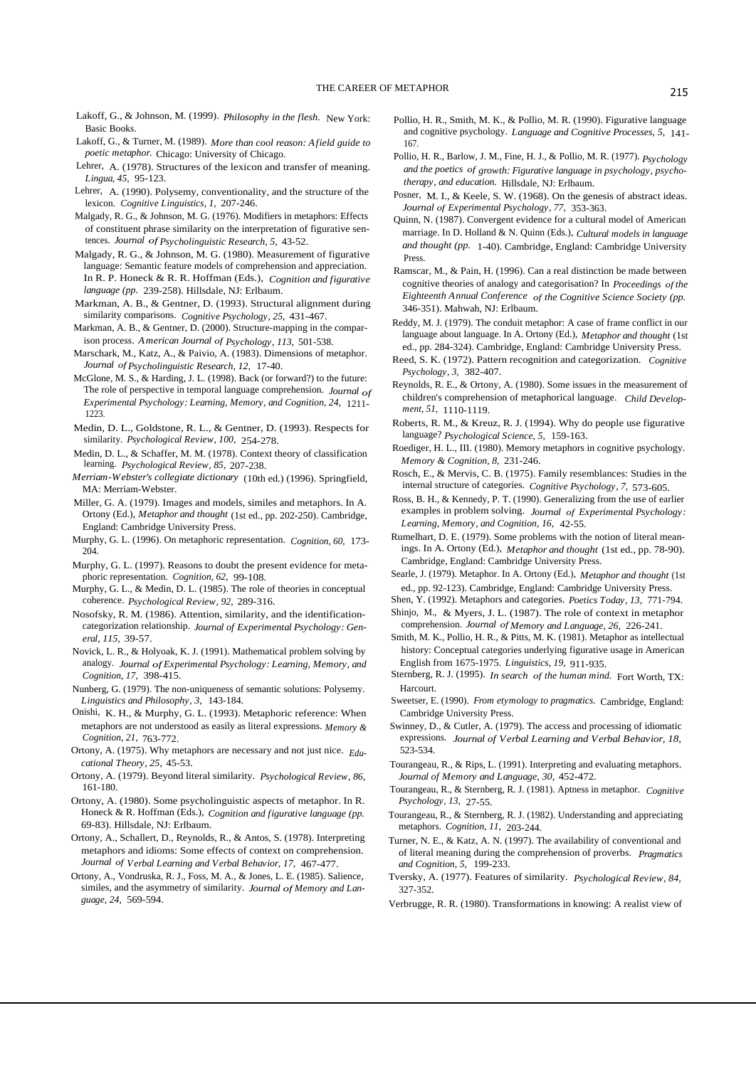- Lakoff, G., & Johnson, M. (1999). *Philosophy in the flesh.* New York: Basic Books.
- Lakoff, G., & Turner, M. (1989). *More than cool reason: Afield guide to poetic metaphor.* Chicago: University of Chicago.
- Lehrer, A. (1978). Structures of the lexicon and transfer of meaning. *Lingua, 45,* 95-123.
- Lehrer, A. (1990). Polysemy, conventionality, and the structure of the lexicon. *Cognitive Linguistics, 1,* 207-246.
- Malgady, R. G., & Johnson, M. G. (1976). Modifiers in metaphors: Effects of constituent phrase similarity on the interpretation of figurative sentences. *Journal ofPsycholinguistic Research, 5,* 43-52.
- Malgady, R. G., & Johnson, M. G. (1980). Measurement of figurative language: Semantic feature models of comprehension and appreciation. In R. P. Honeck & R. R. Hoffman (Eds.), *Cognition and figurative language (pp.* 239-258). Hillsdale, NJ: Erlbaum.
- Markman, A. B., & Gentner, D. (1993). Structural alignment during similarity comparisons. *Cognitive Psychology, 25,* 431-467.
- Markman, A. B., & Gentner, D. (2000). Structure-mapping in the comparison process. *American Journal of Psychology, 113,* 501-538.
- Marschark, M., Katz, A., & Paivio, A. (1983). Dimensions of metaphor. *Journal ofPsycholinguistic Research, 12,* 17-40.
- McGlone, M. S., & Harding, J. L. (1998). Back (or forward?) to the future: The role of perspective in temporal language comprehension. *Journal of Experimental Psychology: Learning, Memory, and Cognition, 24,* 1211- 1223.
- Medin, D. L., Goldstone, R. L., & Gentner, D. (1993). Respects for similarity. *Psychological Review, 100,* 254-278.
- Medin, D. L., & Schaffer, M. M. (1978). Context theory of classification learning. *Psychological Review, 85,* 207-238.
- *Merriam-Webster's collegiate dictionary* (10th ed.) (1996). Springfield, MA: Merriam-Webster.
- Miller, G. A. (1979). Images and models, similes and metaphors. In A. Ortony (Ed.), *Metaphor and thought* (1st ed., pp. 202-250). Cambridge, England: Cambridge University Press.
- Murphy, G. L. (1996). On metaphoric representation. *Cognition, 60,* 173- 204.
- Murphy, G. L. (1997). Reasons to doubt the present evidence for metaphoric representation. *Cognition, 62,* 99-108.
- Murphy, G. L., & Medin, D. L. (1985). The role of theories in conceptual coherence. *Psychological Review, 92,* 289-316.
- Nosofsky, R. M. (1986). Attention, similarity, and the identificationcategorization relationship. *Journal of Experimental Psychology: General, 115,* 39-57.
- Novick, L. R., & Holyoak, K. J. (1991). Mathematical problem solving by analogy. *Journal ofExperimental Psychology: Learning, Memory, and Cognition, 17,* 398-415.
- Nunberg, G. (1979). The non-uniqueness of semantic solutions: Polysemy. *Linguistics and Philosophy, 3,* 143-184.
- Onishi, K. H., & Murphy, G. L. (1993). Metaphoric reference: When metaphors are not understood as easily as literal expressions. *Memory & Cognition, 21,* 763-772.
- Ortony, A. (1975). Why metaphors are necessary and not just nice. *Educational Theory, 25,* 45-53.
- Ortony, A. (1979). Beyond literal similarity. *Psychological Review, 86,* 161-180.
- Ortony, A. (1980). Some psycholinguistic aspects of metaphor. In R. Honeck & R. Hoffman (Eds.), *Cognition and figurative language (pp.* 69-83). Hillsdale, NJ: Erlbaum.
- Ortony, A., Schallert, D., Reynolds, R., & Antos, S. (1978). Interpreting metaphors and idioms: Some effects of context on comprehension. *Journal of Verbal Learning and Verbal Behavior, 17,* 467-477.
- Ortony, A., Vondruska, R. J., Foss, M. A., & Jones, L. E. (1985). Salience, similes, and the asymmetry of similarity. *Journal ofMemory and Language, 24,* 569-594.
- Pollio, H. R., Smith, M. K., & Pollio, M. R. (1990). Figurative language and cognitive psychology. *Language and Cognitive Processes, 5,* 141- 167.
- Pollio, H. R., Barlow, J. M., Fine, H. J., & Pollio, M. R. (1977). *Psychology and the poetics of growth: Figurative language in psychology, psychotherapy, and education.* Hillsdale, NJ: Erlbaum.
- Posner, M. I., & Keele, S. W. (1968). On the genesis of abstract ideas. *Journal of Experimental Psychology, 77,* 353-363.
- Quinn, N. (1987). Convergent evidence for a cultural model of American marriage. In D. Holland & N. Quinn (Eds.), *Cultural models in language and thought (pp.* 1-40). Cambridge, England: Cambridge University Press.
- Ramscar, M., & Pain, H. (1996). Can a real distinction be made between cognitive theories of analogy and categorisation? In *Proceedings ofthe Eighteenth Annual Conference of the Cognitive Science Society (pp.* 346-351). Mahwah, NJ: Erlbaum.
- Reddy, M. J. (1979). The conduit metaphor: A case of frame conflict in our language about language. In A. Ortony (Ed.), *Metaphor and thought* (1st ed., pp. 284-324). Cambridge, England: Cambridge University Press.
- Reed, S. K. (1972). Pattern recognition and categorization. *Cognitive Psychology, 3,* 382-407.
- Reynolds, R. E., & Ortony, A. (1980). Some issues in the measurement of children's comprehension of metaphorical language. *Child Development, 51,* 1110-1119.
- Roberts, R. M., & Kreuz, R. J. (1994). Why do people use figurative language? *Psychological Science, 5,* 159-163.
- Roediger, H. L., III. (1980). Memory metaphors in cognitive psychology. *Memory & Cognition, 8,* 231-246.
- Rosch, E., & Mervis, C. B. (1975). Family resemblances: Studies in the internal structure of categories. *Cognitive Psychology, 7,* 573-605.
- Ross, B. H., & Kennedy, P. T. (1990). Generalizing from the use of earlier examples in problem solving. *Journal of Experimental Psychology: Learning, Memory, and Cognition, 16,* 42-55.
- Rumelhart, D. E. (1979). Some problems with the notion of literal meanings. In A. Ortony (Ed.), *Metaphor and thought* (1st ed., pp. 78-90). Cambridge, England: Cambridge University Press.
- Searle, J. (1979). Metaphor. In A. Ortony (Ed.), *Metaphor and thought* (1st ed., pp. 92-123). Cambridge, England: Cambridge University Press.
- Shen, Y. (1992). Metaphors and categories. *Poetics Today, 13,* 771-794.
- Shinjo, M., & Myers, J. L. (1987). The role of context in metaphor comprehension. *Journal ofMemory and Language, 26,* 226-241.
- Smith, M. K., Pollio, H. R., & Pitts, M. K. (1981). Metaphor as intellectual history: Conceptual categories underlying figurative usage in American English from 1675-1975. *Linguistics, 19,* 911-935.
- Sternberg, R. J. (1995). *In search of the human mind.* Fort Worth, TX: Harcourt.
- Sweetser, E. (1990). *From etymology to pragmatics.* Cambridge, England: Cambridge University Press.
- Swinney, D., & Cutler, A. (1979). The access and processing of idiomatic expressions. *Journal of Verbal Learning and Verbal Behavior, 18,* 523-534.
- Tourangeau, R., & Rips, L. (1991). Interpreting and evaluating metaphors. *Journal of Memory and Language, 30,* 452-472.
- Tourangeau, R., & Sternberg, R. J. (1981). Aptness in metaphor. *Cognitive Psychology, 13,* 27-55.
- Tourangeau, R., & Sternberg, R. J. (1982). Understanding and appreciating metaphors. *Cognition, 11,* 203-244.
- Turner, N. E., & Katz, A. N. (1997). The availability of conventional and of literal meaning during the comprehension of proverbs. *Pragmatics and Cognition, 5,* 199-233.
- Tversky, A. (1977). Features of similarity. *Psychological Review, 84,* 327-352.
- Verbrugge, R. R. (1980). Transformations in knowing: A realist view of